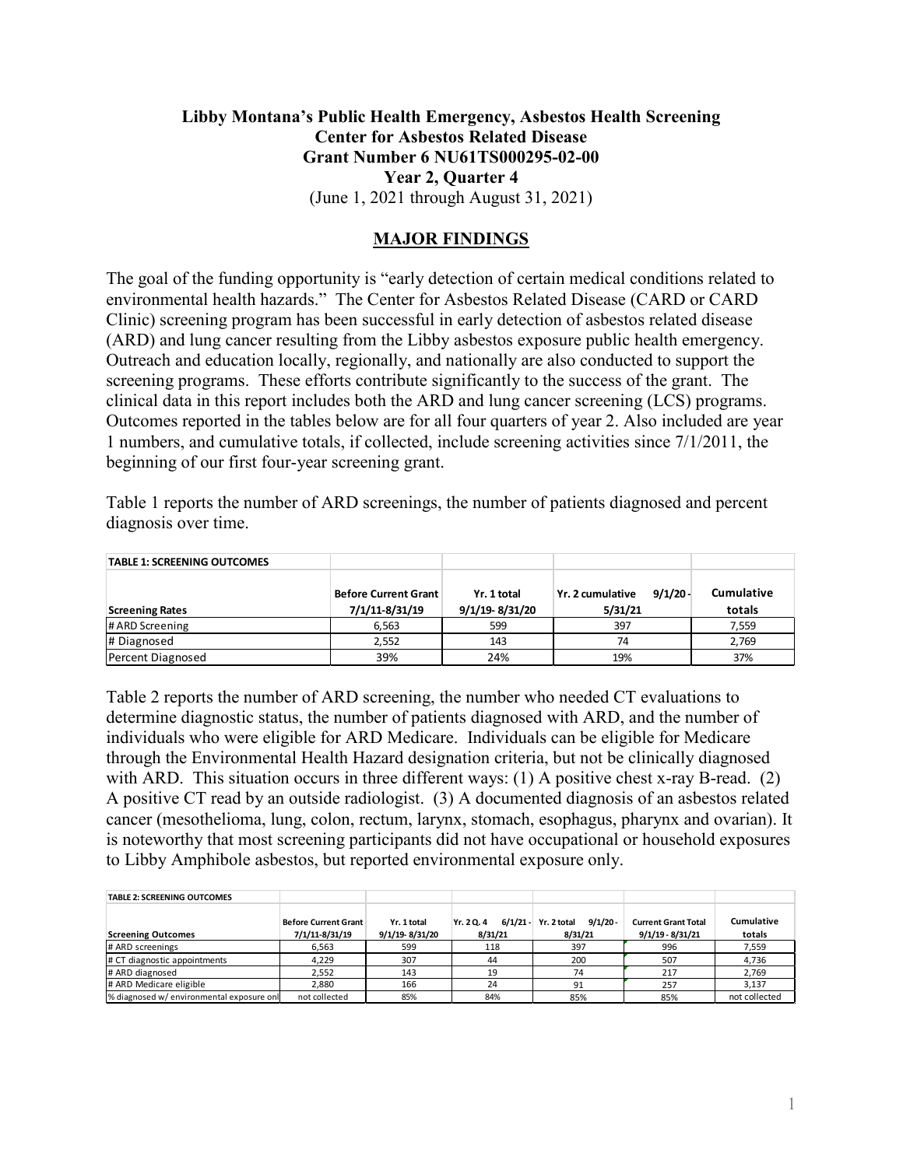## **Libby Montana's Public Health Emergency, Asbestos Health Screening Center for Asbestos Related Disease Grant Number 6 NU61TS000295-02-00 Year 2, Quarter 4** (June 1, 2021 through August 31, 2021)

## **MAJOR FINDINGS**

The goal of the funding opportunity is "early detection of certain medical conditions related to environmental health hazards." The Center for Asbestos Related Disease (CARD or CARD Clinic) screening program has been successful in early detection of asbestos related disease (ARD) and lung cancer resulting from the Libby asbestos exposure public health emergency. Outreach and education locally, regionally, and nationally are also conducted to support the screening programs. These efforts contribute significantly to the success of the grant. The clinical data in this report includes both the ARD and lung cancer screening (LCS) programs. Outcomes reported in the tables below are for all four quarters of year 2. Also included are year 1 numbers, and cumulative totals, if collected, include screening activities since 7/1/2011, the beginning of our first four-year screening grant.

Table 1 reports the number of ARD screenings, the number of patients diagnosed and percent diagnosis over time.

| <b>TABLE 1: SCREENING OUTCOMES</b> |                             |                |                                |                   |
|------------------------------------|-----------------------------|----------------|--------------------------------|-------------------|
|                                    | <b>Before Current Grant</b> | Yr. 1 total    | $9/1/20$ -<br>Yr. 2 cumulative | <b>Cumulative</b> |
| <b>Screening Rates</b>             | 7/1/11-8/31/19              | 9/1/19-8/31/20 | 5/31/21                        | totals            |
| # ARD Screening                    | 6.563                       | 599            | 397                            | 7,559             |
| # Diagnosed                        | 2,552                       | 143            | 74                             | 2,769             |
| Percent Diagnosed                  | 39%                         | 24%            | 19%                            | 37%               |

Table 2 reports the number of ARD screening, the number who needed CT evaluations to determine diagnostic status, the number of patients diagnosed with ARD, and the number of individuals who were eligible for ARD Medicare. Individuals can be eligible for Medicare through the Environmental Health Hazard designation criteria, but not be clinically diagnosed with ARD. This situation occurs in three different ways: (1) A positive chest x-ray B-read. (2) A positive CT read by an outside radiologist. (3) A documented diagnosis of an asbestos related cancer (mesothelioma, lung, colon, rectum, larynx, stomach, esophagus, pharynx and ovarian). It is noteworthy that most screening participants did not have occupational or household exposures to Libby Amphibole asbestos, but reported environmental exposure only.

| <b>TABLE 2: SCREENING OUTCOMES</b>        |                                               |                               |                                     |                                    |                                                  |                      |
|-------------------------------------------|-----------------------------------------------|-------------------------------|-------------------------------------|------------------------------------|--------------------------------------------------|----------------------|
| <b>Screening Outcomes</b>                 | <b>Before Current Grant</b><br>7/1/11-8/31/19 | Yr. 1 total<br>9/1/19-8/31/20 | $6/1/21 -$<br>Yr. 2 Q. 4<br>8/31/21 | 9/1/20 -<br>Yr. 2 total<br>8/31/21 | <b>Current Grant Total</b><br>$9/1/19 - 8/31/21$ | Cumulative<br>totals |
|                                           |                                               |                               |                                     |                                    |                                                  |                      |
| # ARD screenings                          | 6.563                                         | 599                           | 118                                 | 397                                | 996                                              | 7.559                |
| # CT diagnostic appointments              | 4.229                                         | 307                           | 44                                  | 200                                | 507                                              | 4,736                |
| # ARD diagnosed                           | 2.552                                         | 143                           | 19                                  | 74                                 | 217                                              | 2.769                |
| # ARD Medicare eligible                   | 2.880                                         | 166                           | 24                                  | 91                                 | 257                                              | 3.137                |
| % diagnosed w/ environmental exposure onl | not collected                                 | 85%                           | 84%                                 | 85%                                | 85%                                              | not collected        |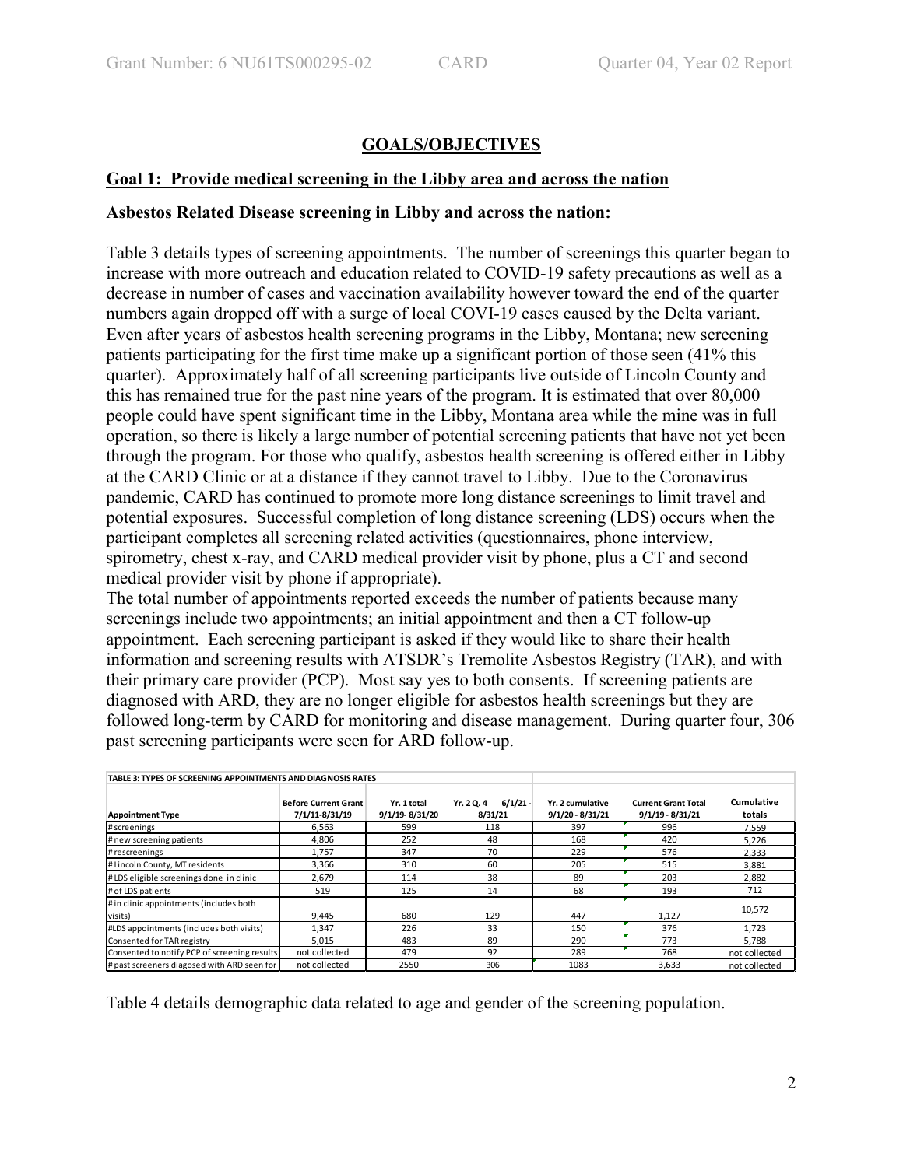# **GOALS/OBJECTIVES**

## **Goal 1: Provide medical screening in the Libby area and across the nation**

## **Asbestos Related Disease screening in Libby and across the nation:**

Table 3 details types of screening appointments. The number of screenings this quarter began to increase with more outreach and education related to COVID-19 safety precautions as well as a decrease in number of cases and vaccination availability however toward the end of the quarter numbers again dropped off with a surge of local COVI-19 cases caused by the Delta variant. Even after years of asbestos health screening programs in the Libby, Montana; new screening patients participating for the first time make up a significant portion of those seen (41% this quarter). Approximately half of all screening participants live outside of Lincoln County and this has remained true for the past nine years of the program. It is estimated that over 80,000 people could have spent significant time in the Libby, Montana area while the mine was in full operation, so there is likely a large number of potential screening patients that have not yet been through the program. For those who qualify, asbestos health screening is offered either in Libby at the CARD Clinic or at a distance if they cannot travel to Libby. Due to the Coronavirus pandemic, CARD has continued to promote more long distance screenings to limit travel and potential exposures. Successful completion of long distance screening (LDS) occurs when the participant completes all screening related activities (questionnaires, phone interview, spirometry, chest x-ray, and CARD medical provider visit by phone, plus a CT and second medical provider visit by phone if appropriate).

The total number of appointments reported exceeds the number of patients because many screenings include two appointments; an initial appointment and then a CT follow-up appointment. Each screening participant is asked if they would like to share their health information and screening results with ATSDR's Tremolite Asbestos Registry (TAR), and with their primary care provider (PCP). Most say yes to both consents. If screening patients are diagnosed with ARD, they are no longer eligible for asbestos health screenings but they are followed long-term by CARD for monitoring and disease management. During quarter four, 306 past screening participants were seen for ARD follow-up.

| TABLE 3: TYPES OF SCREENING APPOINTMENTS AND DIAGNOSIS RATES |                                               |                               |                                   |                                        |                                                  |                      |
|--------------------------------------------------------------|-----------------------------------------------|-------------------------------|-----------------------------------|----------------------------------------|--------------------------------------------------|----------------------|
| <b>Appointment Type</b>                                      | <b>Before Current Grant</b><br>7/1/11-8/31/19 | Yr. 1 total<br>9/1/19-8/31/20 | $6/1/21 -$<br>Yr. 20.4<br>8/31/21 | Yr. 2 cumulative<br>$9/1/20 - 8/31/21$ | <b>Current Grant Total</b><br>$9/1/19 - 8/31/21$ | Cumulative<br>totals |
| # screenings                                                 | 6,563                                         | 599                           | 118                               | 397                                    | 996                                              | 7.559                |
| # new screening patients                                     | 4,806                                         | 252                           | 48                                | 168                                    | 420                                              | 5.226                |
| # rescreenings                                               | 1,757                                         | 347                           | 70                                | 229                                    | 576                                              | 2,333                |
| # Lincoln County, MT residents                               | 3,366                                         | 310                           | 60                                | 205                                    | 515                                              | 3.881                |
| #LDS eligible screenings done in clinic                      | 2,679                                         | 114                           | 38                                | 89                                     | 203                                              | 2,882                |
| # of LDS patients                                            | 519                                           | 125                           | 14                                | 68                                     | 193                                              | 712                  |
| # in clinic appointments (includes both<br>visits)           | 9,445                                         | 680                           | 129                               | 447                                    | 1,127                                            | 10,572               |
| #LDS appointments (includes both visits)                     | 1,347                                         | 226                           | 33                                | 150                                    | 376                                              | 1.723                |
| Consented for TAR registry                                   | 5,015                                         | 483                           | 89                                | 290                                    | 773                                              | 5,788                |
| Consented to notify PCP of screening results                 | not collected                                 | 479                           | 92                                | 289                                    | 768                                              | not collected        |
| # past screeners diagosed with ARD seen for                  | not collected                                 | 2550                          | 306                               | 1083                                   | 3,633                                            | not collected        |

Table 4 details demographic data related to age and gender of the screening population.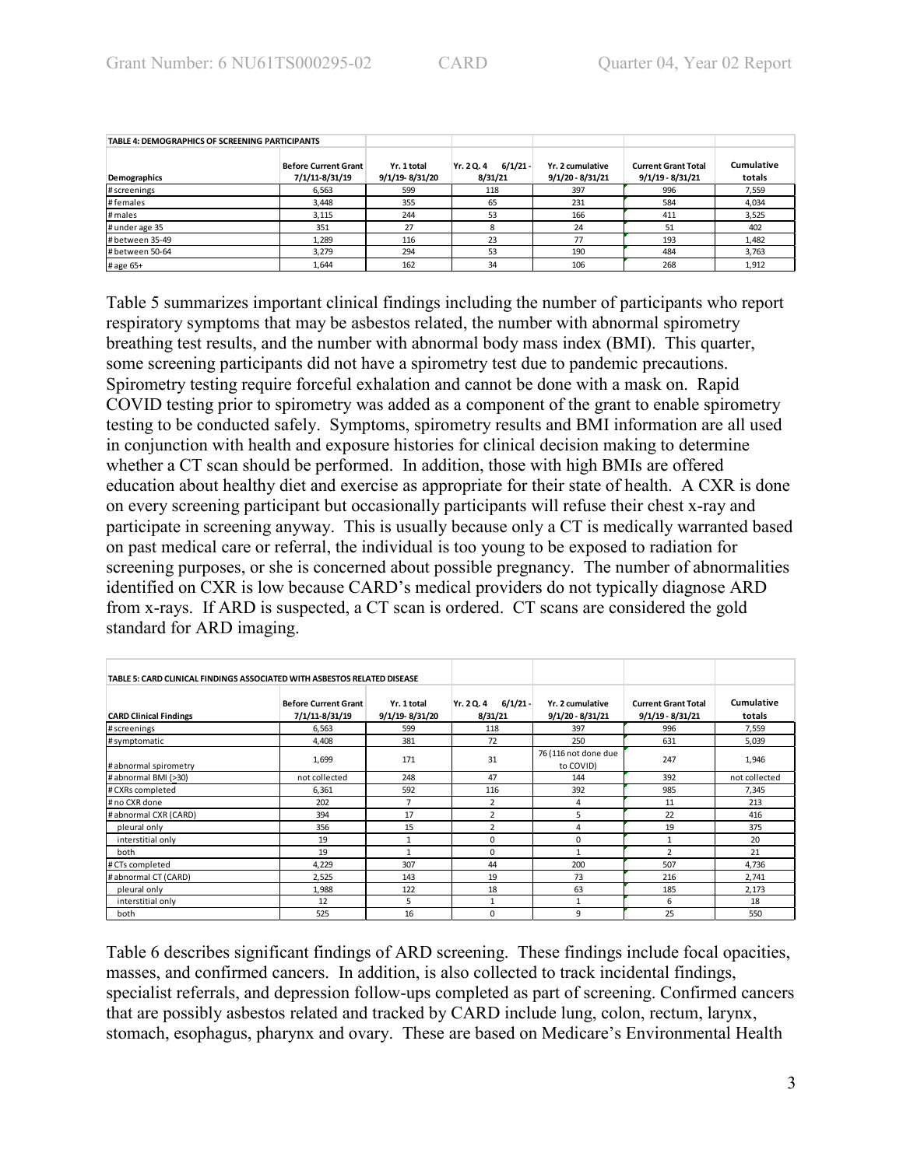| TABLE 4: DEMOGRAPHICS OF SCREENING PARTICIPANTS |                                               |                               |                                     |                                        |                                                  |                      |
|-------------------------------------------------|-----------------------------------------------|-------------------------------|-------------------------------------|----------------------------------------|--------------------------------------------------|----------------------|
| Demographics                                    | <b>Before Current Grant</b><br>7/1/11-8/31/19 | Yr. 1 total<br>9/1/19-8/31/20 | $6/1/21 -$<br>Yr. 2 Q. 4<br>8/31/21 | Yr. 2 cumulative<br>$9/1/20 - 8/31/21$ | <b>Current Grant Total</b><br>$9/1/19 - 8/31/21$ | Cumulative<br>totals |
| # screenings                                    | 6.563                                         | 599                           | 118                                 | 397                                    | 996                                              | 7,559                |
| #females                                        | 3.448                                         | 355                           | 65                                  | 231                                    | 584                                              | 4,034                |
| # males                                         | 3.115                                         | 244                           | 53                                  | 166                                    | 411                                              | 3,525                |
| # under age 35                                  | 351                                           | 27                            |                                     | 24                                     | 51                                               | 402                  |
| # between 35-49                                 | 1.289                                         | 116                           | 23                                  | 77                                     | 193                                              | 1,482                |
| # between 50-64                                 | 3.279                                         | 294                           | 53                                  | 190                                    | 484                                              | 3,763                |
| # age 65+                                       | 1.644                                         | 162                           | 34                                  | 106                                    | 268                                              | 1,912                |

Table 5 summarizes important clinical findings including the number of participants who report respiratory symptoms that may be asbestos related, the number with abnormal spirometry breathing test results, and the number with abnormal body mass index (BMI). This quarter, some screening participants did not have a spirometry test due to pandemic precautions. Spirometry testing require forceful exhalation and cannot be done with a mask on. Rapid COVID testing prior to spirometry was added as a component of the grant to enable spirometry testing to be conducted safely. Symptoms, spirometry results and BMI information are all used in conjunction with health and exposure histories for clinical decision making to determine whether a CT scan should be performed. In addition, those with high BMIs are offered education about healthy diet and exercise as appropriate for their state of health. A CXR is done on every screening participant but occasionally participants will refuse their chest x-ray and participate in screening anyway. This is usually because only a CT is medically warranted based on past medical care or referral, the individual is too young to be exposed to radiation for screening purposes, or she is concerned about possible pregnancy. The number of abnormalities identified on CXR is low because CARD's medical providers do not typically diagnose ARD from x-rays. If ARD is suspected, a CT scan is ordered. CT scans are considered the gold standard for ARD imaging.

| TABLE 5: CARD CLINICAL FINDINGS ASSOCIATED WITH ASBESTOS RELATED DISEASE |                                               |                               |                                     |                                        |                                                  |                      |
|--------------------------------------------------------------------------|-----------------------------------------------|-------------------------------|-------------------------------------|----------------------------------------|--------------------------------------------------|----------------------|
| <b>CARD Clinical Findings</b>                                            | <b>Before Current Grant</b><br>7/1/11-8/31/19 | Yr. 1 total<br>9/1/19-8/31/20 | $6/1/21 -$<br>Yr. 2 Q. 4<br>8/31/21 | Yr. 2 cumulative<br>$9/1/20 - 8/31/21$ | <b>Current Grant Total</b><br>$9/1/19 - 8/31/21$ | Cumulative<br>totals |
| # screenings                                                             | 6,563                                         | 599                           | 118                                 | 397                                    | 996                                              | 7,559                |
| # symptomatic                                                            | 4,408                                         | 381                           | 72                                  | 250                                    | 631                                              | 5,039                |
| #abnormal spirometry                                                     | 1,699                                         | 171                           | 31                                  | 76 (116 not done due<br>to COVID)      | 247                                              | 1,946                |
| # abnormal BMI (>30)                                                     | not collected                                 | 248                           | 47                                  | 144                                    | 392                                              | not collected        |
| # CXRs completed                                                         | 6,361                                         | 592                           | 116                                 | 392                                    | 985                                              | 7,345                |
| # no CXR done                                                            | 202                                           | $\overline{ }$                | 2                                   | 4                                      | 11                                               | 213                  |
| # abnormal CXR (CARD)                                                    | 394                                           | 17                            | 2                                   | 5                                      | 22                                               | 416                  |
| pleural only                                                             | 356                                           | 15                            | $\overline{2}$                      | 4                                      | 19                                               | 375                  |
| interstitial only                                                        | 19                                            |                               | 0                                   | 0                                      |                                                  | 20                   |
| both                                                                     | 19                                            |                               | 0                                   |                                        | $\overline{\phantom{a}}$                         | 21                   |
| # CTs completed                                                          | 4,229                                         | 307                           | 44                                  | 200                                    | 507                                              | 4,736                |
| # abnormal CT (CARD)                                                     | 2,525                                         | 143                           | 19                                  | 73                                     | 216                                              | 2,741                |
| pleural only                                                             | 1,988                                         | 122                           | 18                                  | 63                                     | 185                                              | 2,173                |
| interstitial only                                                        | 12                                            | 5                             |                                     | $\mathbf{1}$                           | 6                                                | 18                   |
| both                                                                     | 525                                           | 16                            | 0                                   | 9                                      | 25                                               | 550                  |

Table 6 describes significant findings of ARD screening. These findings include focal opacities, masses, and confirmed cancers. In addition, is also collected to track incidental findings, specialist referrals, and depression follow-ups completed as part of screening. Confirmed cancers that are possibly asbestos related and tracked by CARD include lung, colon, rectum, larynx, stomach, esophagus, pharynx and ovary. These are based on Medicare's Environmental Health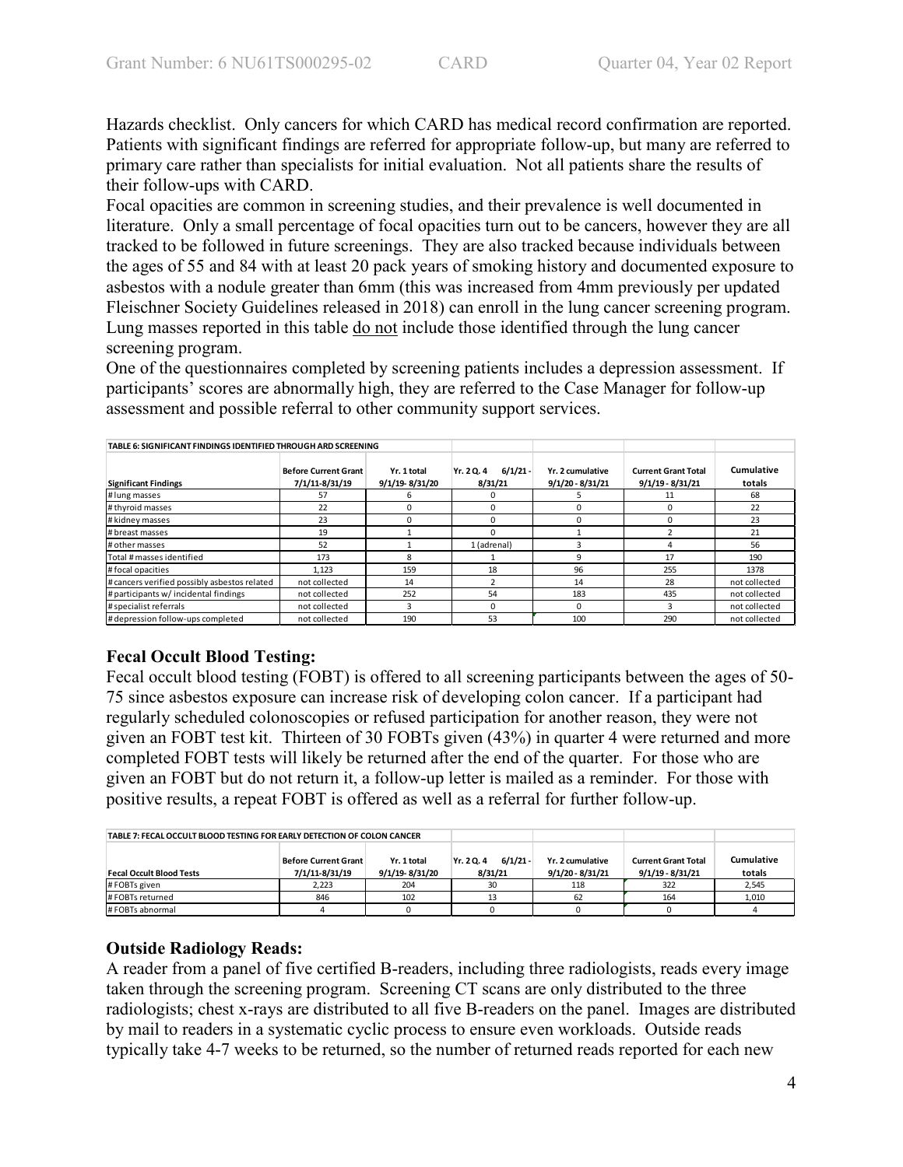Hazards checklist. Only cancers for which CARD has medical record confirmation are reported. Patients with significant findings are referred for appropriate follow-up, but many are referred to primary care rather than specialists for initial evaluation. Not all patients share the results of their follow-ups with CARD.

Focal opacities are common in screening studies, and their prevalence is well documented in literature. Only a small percentage of focal opacities turn out to be cancers, however they are all tracked to be followed in future screenings. They are also tracked because individuals between the ages of 55 and 84 with at least 20 pack years of smoking history and documented exposure to asbestos with a nodule greater than 6mm (this was increased from 4mm previously per updated Fleischner Society Guidelines released in 2018) can enroll in the lung cancer screening program. Lung masses reported in this table do not include those identified through the lung cancer screening program.

One of the questionnaires completed by screening patients includes a depression assessment. If participants' scores are abnormally high, they are referred to the Case Manager for follow-up assessment and possible referral to other community support services.

| TABLE 6: SIGNIFICANT FINDINGS IDENTIFIED THROUGH ARD SCREENING |                                               |                               |                                     |                                        |                                                  |                      |
|----------------------------------------------------------------|-----------------------------------------------|-------------------------------|-------------------------------------|----------------------------------------|--------------------------------------------------|----------------------|
| <b>Significant Findings</b>                                    | <b>Before Current Grant</b><br>7/1/11-8/31/19 | Yr. 1 total<br>9/1/19-8/31/20 | $6/1/21 -$<br>Yr. 2 Q. 4<br>8/31/21 | Yr. 2 cumulative<br>$9/1/20 - 8/31/21$ | <b>Current Grant Total</b><br>$9/1/19 - 8/31/21$ | Cumulative<br>totals |
| # lung masses                                                  | 57                                            |                               | n.                                  |                                        | 11                                               | 68                   |
| # thyroid masses                                               | 22                                            |                               | U                                   |                                        |                                                  | 22                   |
| # kidney masses                                                | 23                                            |                               | 0                                   |                                        |                                                  | 23                   |
| # breast masses                                                | 19                                            |                               | U                                   |                                        |                                                  | 21                   |
| # other masses                                                 | 52                                            |                               | 1 (adrenal)                         |                                        |                                                  | 56                   |
| Total # masses identified                                      | 173                                           | 8                             |                                     | ٩                                      | 17                                               | 190                  |
| #focal opacities                                               | 1,123                                         | 159                           | 18                                  | 96                                     | 255                                              | 1378                 |
| # cancers verified possibly asbestos related                   | not collected                                 | 14                            |                                     | 14                                     | 28                                               | not collected        |
| # participants w/ incidental findings                          | not collected                                 | 252                           | 54                                  | 183                                    | 435                                              | not collected        |
| # specialist referrals                                         | not collected                                 |                               | 0                                   | <sup>0</sup>                           |                                                  | not collected        |
| # depression follow-ups completed                              | not collected                                 | 190                           | 53                                  | 100                                    | 290                                              | not collected        |

# **Fecal Occult Blood Testing:**

Fecal occult blood testing (FOBT) is offered to all screening participants between the ages of 50- 75 since asbestos exposure can increase risk of developing colon cancer. If a participant had regularly scheduled colonoscopies or refused participation for another reason, they were not given an FOBT test kit. Thirteen of 30 FOBTs given (43%) in quarter 4 were returned and more completed FOBT tests will likely be returned after the end of the quarter. For those who are given an FOBT but do not return it, a follow-up letter is mailed as a reminder. For those with positive results, a repeat FOBT is offered as well as a referral for further follow-up.

| TABLE 7: FECAL OCCULT BLOOD TESTING FOR EARLY DETECTION OF COLON CANCER |                                               |                               |                                   |                                        |                                                  |                      |
|-------------------------------------------------------------------------|-----------------------------------------------|-------------------------------|-----------------------------------|----------------------------------------|--------------------------------------------------|----------------------|
| <b>Fecal Occult Blood Tests</b>                                         | <b>Before Current Grant</b><br>7/1/11-8/31/19 | Yr. 1 total<br>9/1/19-8/31/20 | $6/1/21 -$<br>Yr. 20.4<br>8/31/21 | Yr. 2 cumulative<br>$9/1/20 - 8/31/21$ | <b>Current Grant Total</b><br>$9/1/19 - 8/31/21$ | Cumulative<br>totals |
| #FOBTs given                                                            | 2.223                                         | 204                           | 30                                | 118                                    | 322                                              | 2,545                |
| #FOBTs returned                                                         | 846                                           | 102                           |                                   | 62                                     | 164                                              | 1,010                |
| # FOBTs abnormal                                                        |                                               |                               |                                   |                                        |                                                  |                      |

# **Outside Radiology Reads:**

A reader from a panel of five certified B-readers, including three radiologists, reads every image taken through the screening program. Screening CT scans are only distributed to the three radiologists; chest x-rays are distributed to all five B-readers on the panel. Images are distributed by mail to readers in a systematic cyclic process to ensure even workloads. Outside reads typically take 4-7 weeks to be returned, so the number of returned reads reported for each new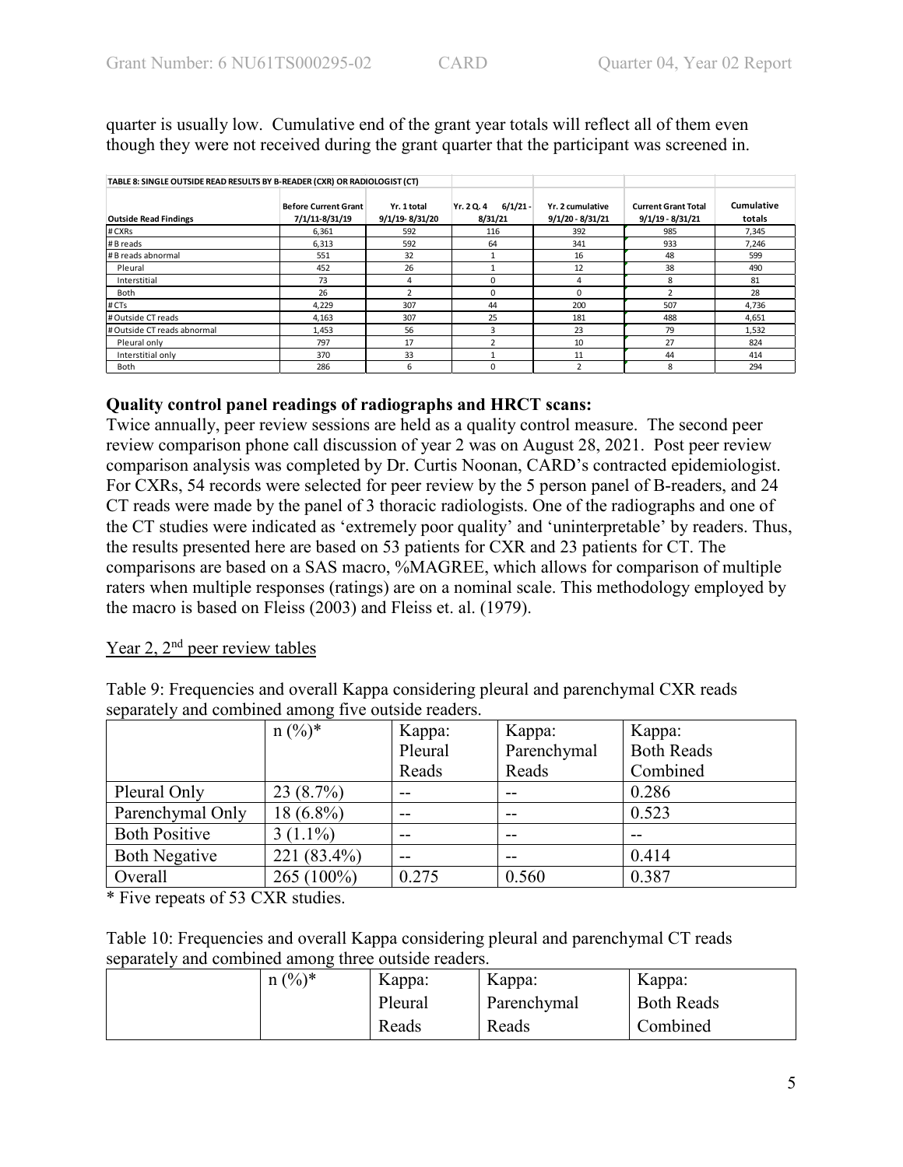quarter is usually low. Cumulative end of the grant year totals will reflect all of them even though they were not received during the grant quarter that the participant was screened in.

| TABLE 8: SINGLE OUTSIDE READ RESULTS BY B-READER (CXR) OR RADIOLOGIST (CT) |                                               |                               |                                     |                                        |                                                  |                      |
|----------------------------------------------------------------------------|-----------------------------------------------|-------------------------------|-------------------------------------|----------------------------------------|--------------------------------------------------|----------------------|
| <b>Outside Read Findings</b>                                               | <b>Before Current Grant</b><br>7/1/11-8/31/19 | Yr. 1 total<br>9/1/19-8/31/20 | $6/1/21 -$<br>Yr. 2 Q. 4<br>8/31/21 | Yr. 2 cumulative<br>$9/1/20 - 8/31/21$ | <b>Current Grant Total</b><br>$9/1/19 - 8/31/21$ | Cumulative<br>totals |
| # CXRs                                                                     | 6.361                                         | 592                           | 116                                 | 392                                    | 985                                              | 7.345                |
| # B reads                                                                  | 6,313                                         | 592                           | 64                                  | 341                                    | 933                                              | 7,246                |
| # B reads abnormal                                                         | 551                                           | 32                            |                                     | 16                                     | 48                                               | 599                  |
| Pleural                                                                    | 452                                           | 26                            |                                     | 12                                     | 38                                               | 490                  |
| Interstitial                                                               | 73                                            | 4                             | 0                                   | 4                                      | 8                                                | 81                   |
| Both                                                                       | 26                                            |                               | 0                                   | <sup>0</sup>                           |                                                  | 28                   |
| # CTs                                                                      | 4,229                                         | 307                           | 44                                  | 200                                    | 507                                              | 4,736                |
| # Outside CT reads                                                         | 4.163                                         | 307                           | 25                                  | 181                                    | 488                                              | 4,651                |
| # Outside CT reads abnormal                                                | 1,453                                         | 56                            | 3                                   | 23                                     | 79                                               | 1,532                |
| Pleural only                                                               | 797                                           | 17                            | 2                                   | 10                                     | 27                                               | 824                  |
| Interstitial only                                                          | 370                                           | 33                            |                                     | 11                                     | 44                                               | 414                  |
| Both                                                                       | 286                                           | 6                             | 0                                   | h                                      | 8                                                | 294                  |

# **Quality control panel readings of radiographs and HRCT scans:**

Twice annually, peer review sessions are held as a quality control measure. The second peer review comparison phone call discussion of year 2 was on August 28, 2021. Post peer review comparison analysis was completed by Dr. Curtis Noonan, CARD's contracted epidemiologist. For CXRs, 54 records were selected for peer review by the 5 person panel of B-readers, and 24 CT reads were made by the panel of 3 thoracic radiologists. One of the radiographs and one of the CT studies were indicated as 'extremely poor quality' and 'uninterpretable' by readers. Thus, the results presented here are based on 53 patients for CXR and 23 patients for CT. The comparisons are based on a SAS macro, %MAGREE, which allows for comparison of multiple raters when multiple responses (ratings) are on a nominal scale. This methodology employed by the macro is based on Fleiss (2003) and Fleiss et. al. (1979).

# Year 2, 2<sup>nd</sup> peer review tables

Table 9: Frequencies and overall Kappa considering pleural and parenchymal CXR reads separately and combined among five outside readers.

|                      | $n (%)^*$   | Kappa:  | Kappa:      | Kappa:            |
|----------------------|-------------|---------|-------------|-------------------|
|                      |             | Pleural | Parenchymal | <b>Both Reads</b> |
|                      |             | Reads   | Reads       | Combined          |
| Pleural Only         | 23(8.7%)    | --      | --          | 0.286             |
| Parenchymal Only     | 18 (6.8%)   | --      | --          | 0.523             |
| <b>Both Positive</b> | $3(1.1\%)$  | --      | $- -$       | --                |
| <b>Both Negative</b> | 221 (83.4%) | --      |             | 0.414             |
| Overall              | 265 (100%)  | 0.275   | 0.560       | 0.387             |

\* Five repeats of 53 CXR studies.

Table 10: Frequencies and overall Kappa considering pleural and parenchymal CT reads separately and combined among three outside readers.

| $n (%)^*$ | Kappa:  | Kappa:      | Kappa:            |
|-----------|---------|-------------|-------------------|
|           | Pleural | Parenchymal | <b>Both Reads</b> |
|           | Reads   | Reads       | Combined          |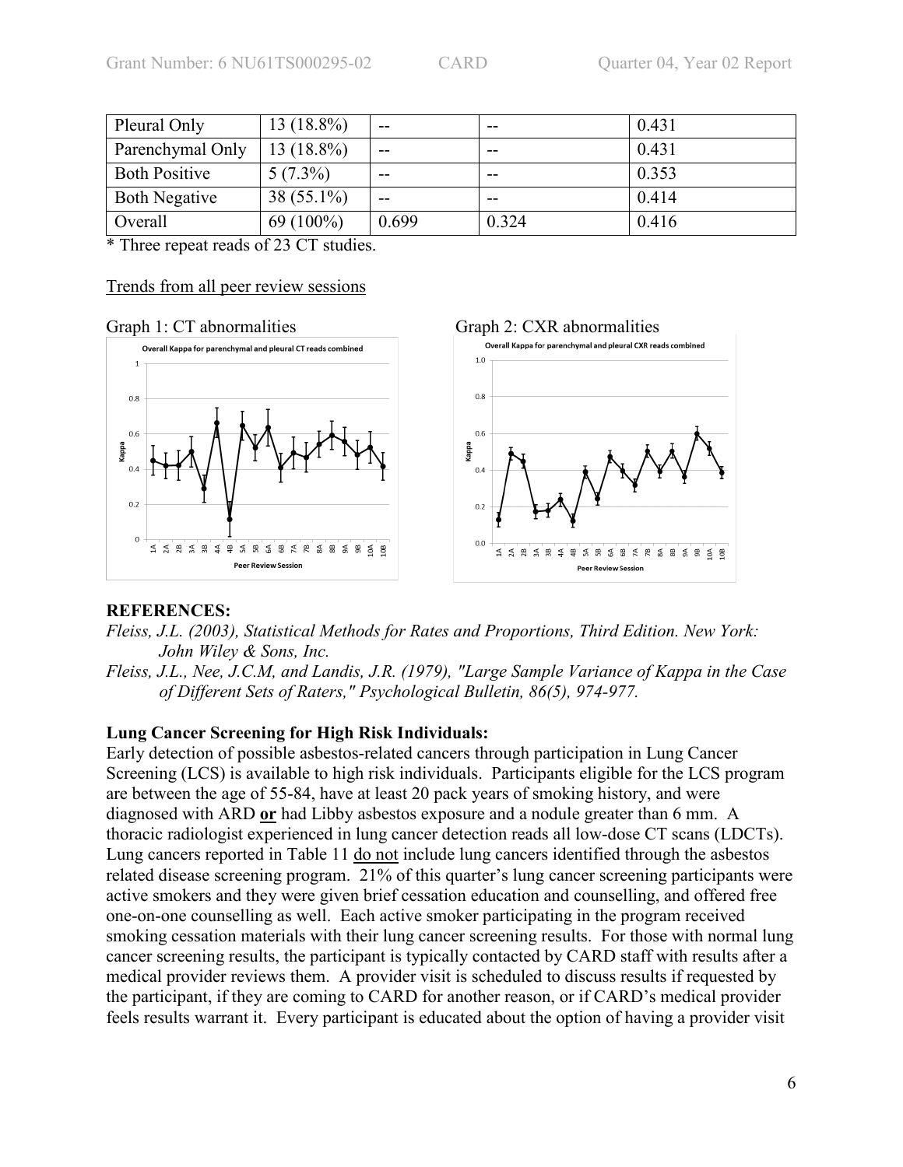| Pleural Only         | 13 (18.8%)   | $- -$ | --    | 0.431 |
|----------------------|--------------|-------|-------|-------|
| Parenchymal Only     | 13 (18.8%)   | $- -$ | --    | 0.431 |
| <b>Both Positive</b> | $5(7.3\%)$   | $- -$ | --    | 0.353 |
| <b>Both Negative</b> | $38(55.1\%)$ | --    | --    | 0.414 |
| Overall              | $69(100\%)$  | 0.699 | 0.324 | 0.416 |

\* Three repeat reads of 23 CT studies.

#### Trends from all peer review sessions

#### Graph 1: CT abnormalities Graph 2: CXR abnormalities



### **REFERENCES:**

*Fleiss, J.L. (2003), Statistical Methods for Rates and Proportions, Third Edition. New York: John Wiley & Sons, Inc.* 

*Fleiss, J.L., Nee, J.C.M, and Landis, J.R. (1979), "Large Sample Variance of Kappa in the Case of Different Sets of Raters," Psychological Bulletin, 86(5), 974-977.* 

### **Lung Cancer Screening for High Risk Individuals:**

Early detection of possible asbestos-related cancers through participation in Lung Cancer Screening (LCS) is available to high risk individuals. Participants eligible for the LCS program are between the age of 55-84, have at least 20 pack years of smoking history, and were diagnosed with ARD **or** had Libby asbestos exposure and a nodule greater than 6 mm. A thoracic radiologist experienced in lung cancer detection reads all low-dose CT scans (LDCTs). Lung cancers reported in Table 11 do not include lung cancers identified through the asbestos related disease screening program. 21% of this quarter's lung cancer screening participants were active smokers and they were given brief cessation education and counselling, and offered free one-on-one counselling as well. Each active smoker participating in the program received smoking cessation materials with their lung cancer screening results. For those with normal lung cancer screening results, the participant is typically contacted by CARD staff with results after a medical provider reviews them. A provider visit is scheduled to discuss results if requested by the participant, if they are coming to CARD for another reason, or if CARD's medical provider feels results warrant it. Every participant is educated about the option of having a provider visit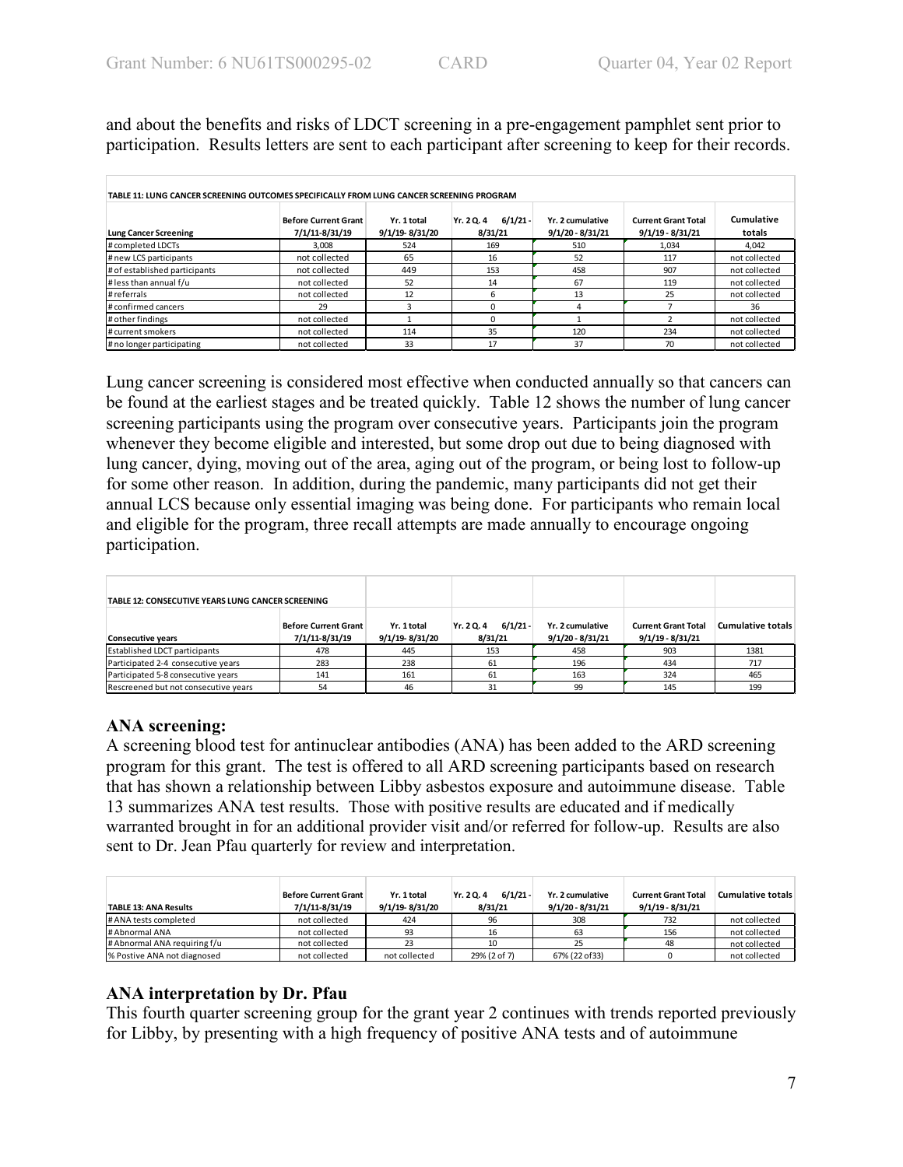and about the benefits and risks of LDCT screening in a pre-engagement pamphlet sent prior to participation. Results letters are sent to each participant after screening to keep for their records.

| TABLE 11: LUNG CANCER SCREENING OUTCOMES SPECIFICALLY FROM LUNG CANCER SCREENING PROGRAM<br>Lung Cancer Screening | <b>Before Current Grant</b><br>7/1/11-8/31/19 | Yr. 1 total<br>9/1/19-8/31/20 | $6/1/21 -$<br>Yr. 20.4<br>8/31/21 | Yr. 2 cumulative<br>$9/1/20 - 8/31/21$ | <b>Current Grant Total</b><br>$9/1/19 - 8/31/21$ | Cumulative<br>totals |
|-------------------------------------------------------------------------------------------------------------------|-----------------------------------------------|-------------------------------|-----------------------------------|----------------------------------------|--------------------------------------------------|----------------------|
| # completed LDCTs                                                                                                 | 3.008                                         | 524                           | 169                               | 510                                    | 1.034                                            | 4.042                |
| # new LCS participants                                                                                            | not collected                                 | 65                            | 16                                | 52                                     | 117                                              | not collected        |
| # of established participants                                                                                     | not collected                                 | 449                           | 153                               | 458                                    | 907                                              | not collected        |
| # less than annual f/u                                                                                            | not collected                                 | 52                            | 14                                | 67                                     | 119                                              | not collected        |
| #referrals                                                                                                        | not collected                                 | 12                            | 6                                 | 13                                     | 25                                               | not collected        |
| # confirmed cancers                                                                                               | 29                                            |                               |                                   |                                        |                                                  | 36                   |
| # other findings                                                                                                  | not collected                                 |                               |                                   |                                        |                                                  | not collected        |
| # current smokers                                                                                                 | not collected                                 | 114                           | 35                                | 120                                    | 234                                              | not collected        |
| # no longer participating                                                                                         | not collected                                 | 33                            | 17                                | 37                                     | 70                                               | not collected        |

Lung cancer screening is considered most effective when conducted annually so that cancers can be found at the earliest stages and be treated quickly. Table 12 shows the number of lung cancer screening participants using the program over consecutive years. Participants join the program whenever they become eligible and interested, but some drop out due to being diagnosed with lung cancer, dying, moving out of the area, aging out of the program, or being lost to follow-up for some other reason. In addition, during the pandemic, many participants did not get their annual LCS because only essential imaging was being done. For participants who remain local and eligible for the program, three recall attempts are made annually to encourage ongoing participation.

| TABLE 12: CONSECUTIVE YEARS LUNG CANCER SCREENING                         |     |                               |                                     |                                        |                                                  |                          |
|---------------------------------------------------------------------------|-----|-------------------------------|-------------------------------------|----------------------------------------|--------------------------------------------------|--------------------------|
| <b>Before Current Grant</b><br>7/1/11-8/31/19<br><b>Consecutive years</b> |     | Yr. 1 total<br>9/1/19-8/31/20 | $6/1/21 -$<br>Yr. 2 Q. 4<br>8/31/21 | Yr. 2 cumulative<br>$9/1/20 - 8/31/21$ | <b>Current Grant Total</b><br>$9/1/19 - 8/31/21$ | <b>Cumulative totals</b> |
| <b>Established LDCT participants</b>                                      | 478 | 445                           | 153                                 | 458                                    | 903                                              | 1381                     |
| Participated 2-4 consecutive years                                        | 283 | 238                           | 61                                  | 196                                    | 434                                              | 717                      |
| Participated 5-8 consecutive years                                        | 141 | 161                           | 61                                  | 163                                    | 324                                              | 465                      |
| Rescreened but not consecutive years                                      | 54  | 46                            | 31                                  | 99                                     | 145                                              | 199                      |

# **ANA screening:**

A screening blood test for antinuclear antibodies (ANA) has been added to the ARD screening program for this grant. The test is offered to all ARD screening participants based on research that has shown a relationship between Libby asbestos exposure and autoimmune disease. Table 13 summarizes ANA test results. Those with positive results are educated and if medically warranted brought in for an additional provider visit and/or referred for follow-up. Results are also sent to Dr. Jean Pfau quarterly for review and interpretation.

| <b>TABLE 13: ANA Results</b> | Before Current Grant<br>7/1/11-8/31/19 | Yr. 1 total<br>9/1/19-8/31/20 | $6/1/21 -$<br>Yr. 20.4<br>8/31/21 | Yr. 2 cumulative<br>$9/1/20 - 8/31/21$ | <b>Current Grant Total</b><br>$9/1/19 - 8/31/21$ | <b>Cumulative totals</b> |
|------------------------------|----------------------------------------|-------------------------------|-----------------------------------|----------------------------------------|--------------------------------------------------|--------------------------|
| # ANA tests completed        | not collected                          | 424                           | 96                                | 308                                    | 732                                              | not collected            |
| # Abnormal ANA               | not collected                          | 93                            | 16                                |                                        | 156                                              | not collected            |
| # Abnormal ANA requiring f/u | not collected                          |                               | 10                                |                                        | 48                                               | not collected            |
| % Postive ANA not diagnosed  | not collected                          | not collected                 | 29% (2 of 7)                      | 67% (22 of 33)                         |                                                  | not collected            |

# **ANA interpretation by Dr. Pfau**

This fourth quarter screening group for the grant year 2 continues with trends reported previously for Libby, by presenting with a high frequency of positive ANA tests and of autoimmune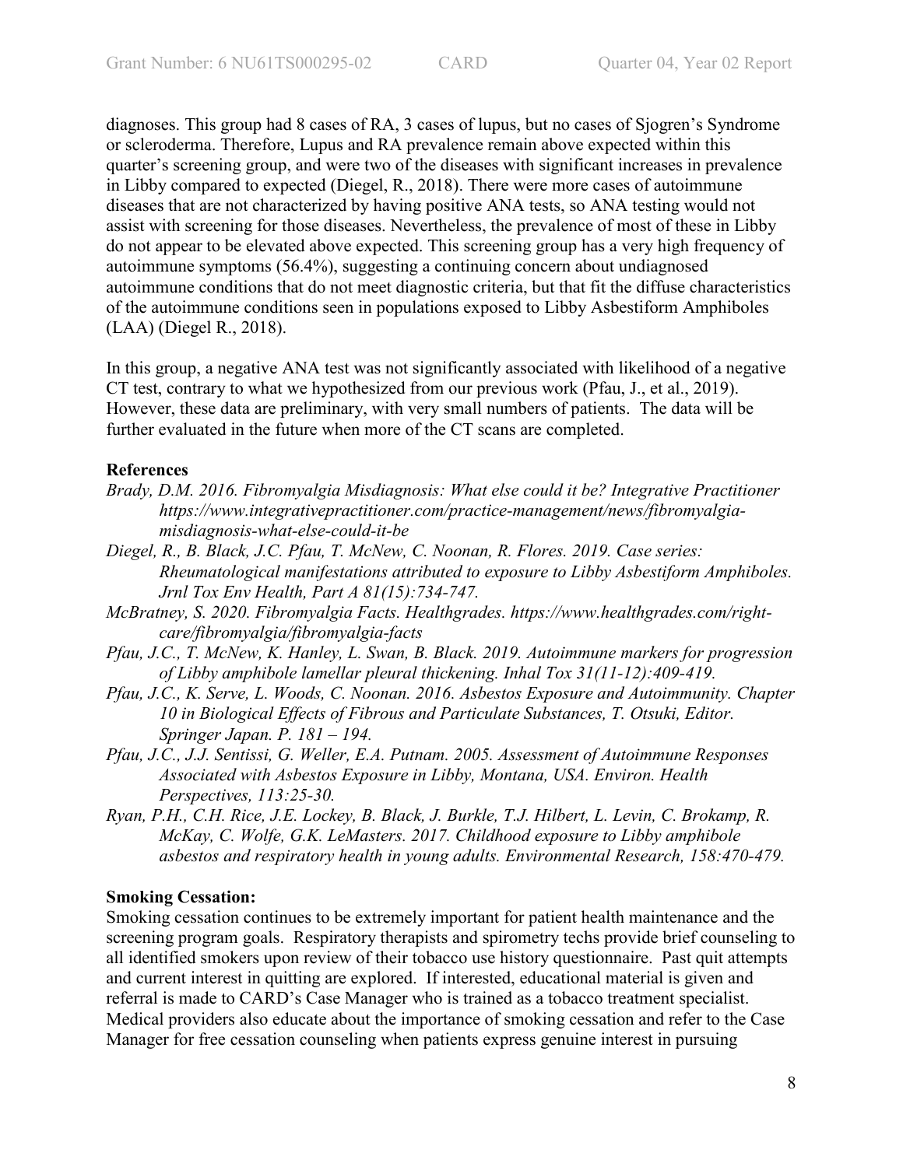diagnoses. This group had 8 cases of RA, 3 cases of lupus, but no cases of Sjogren's Syndrome or scleroderma. Therefore, Lupus and RA prevalence remain above expected within this quarter's screening group, and were two of the diseases with significant increases in prevalence in Libby compared to expected (Diegel, R., 2018). There were more cases of autoimmune diseases that are not characterized by having positive ANA tests, so ANA testing would not assist with screening for those diseases. Nevertheless, the prevalence of most of these in Libby do not appear to be elevated above expected. This screening group has a very high frequency of autoimmune symptoms (56.4%), suggesting a continuing concern about undiagnosed autoimmune conditions that do not meet diagnostic criteria, but that fit the diffuse characteristics of the autoimmune conditions seen in populations exposed to Libby Asbestiform Amphiboles (LAA) (Diegel R., 2018).

In this group, a negative ANA test was not significantly associated with likelihood of a negative CT test, contrary to what we hypothesized from our previous work (Pfau, J., et al., 2019). However, these data are preliminary, with very small numbers of patients. The data will be further evaluated in the future when more of the CT scans are completed.

### **References**

- *Brady, D.M. 2016. Fibromyalgia Misdiagnosis: What else could it be? Integrative Practitioner https://www.integrativepractitioner.com/practice-management/news/fibromyalgiamisdiagnosis-what-else-could-it-be*
- *Diegel, R., B. Black, J.C. Pfau, T. McNew, C. Noonan, R. Flores. 2019. Case series: Rheumatological manifestations attributed to exposure to Libby Asbestiform Amphiboles. Jrnl Tox Env Health, Part A 81(15):734-747.*
- *McBratney, S. 2020. Fibromyalgia Facts. Healthgrades. https://www.healthgrades.com/rightcare/fibromyalgia/fibromyalgia-facts*
- *Pfau, J.C., T. McNew, K. Hanley, L. Swan, B. Black. 2019. Autoimmune markers for progression of Libby amphibole lamellar pleural thickening. Inhal Tox 31(11-12):409-419.*
- *Pfau, J.C., K. Serve, L. Woods, C. Noonan. 2016. Asbestos Exposure and Autoimmunity. Chapter 10 in Biological Effects of Fibrous and Particulate Substances, T. Otsuki, Editor. Springer Japan. P. 181 – 194.*
- *Pfau, J.C., J.J. Sentissi, G. Weller, E.A. Putnam. 2005. Assessment of Autoimmune Responses Associated with Asbestos Exposure in Libby, Montana, USA. Environ. Health Perspectives, 113:25-30.*
- *Ryan, P.H., C.H. Rice, J.E. Lockey, B. Black, J. Burkle, T.J. Hilbert, L. Levin, C. Brokamp, R. McKay, C. Wolfe, G.K. LeMasters. 2017. Childhood exposure to Libby amphibole asbestos and respiratory health in young adults. Environmental Research, 158:470-479.*

### **Smoking Cessation:**

Smoking cessation continues to be extremely important for patient health maintenance and the screening program goals. Respiratory therapists and spirometry techs provide brief counseling to all identified smokers upon review of their tobacco use history questionnaire. Past quit attempts and current interest in quitting are explored. If interested, educational material is given and referral is made to CARD's Case Manager who is trained as a tobacco treatment specialist. Medical providers also educate about the importance of smoking cessation and refer to the Case Manager for free cessation counseling when patients express genuine interest in pursuing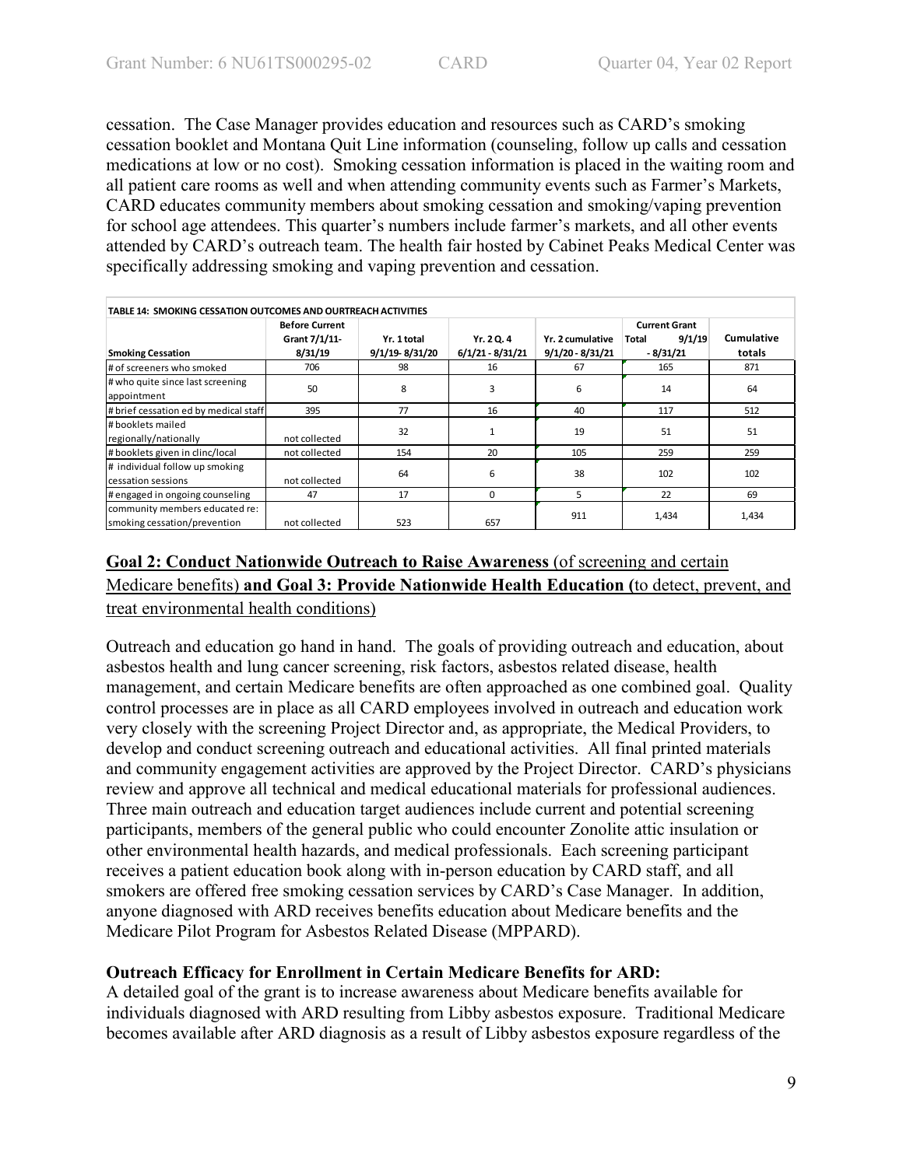cessation. The Case Manager provides education and resources such as CARD's smoking cessation booklet and Montana Quit Line information (counseling, follow up calls and cessation medications at low or no cost). Smoking cessation information is placed in the waiting room and all patient care rooms as well and when attending community events such as Farmer's Markets, CARD educates community members about smoking cessation and smoking/vaping prevention for school age attendees. This quarter's numbers include farmer's markets, and all other events attended by CARD's outreach team. The health fair hosted by Cabinet Peaks Medical Center was specifically addressing smoking and vaping prevention and cessation.

| TABLE 14: SMOKING CESSATION OUTCOMES AND OURTREACH ACTIVITIES |                       |                |                    |                    |                      |            |  |
|---------------------------------------------------------------|-----------------------|----------------|--------------------|--------------------|----------------------|------------|--|
|                                                               | <b>Before Current</b> |                |                    |                    | <b>Current Grant</b> |            |  |
|                                                               | Grant 7/1/11-         | Yr. 1 total    | Yr. 2 Q. 4         | Yr. 2 cumulative   | 9/1/19<br>Total      | Cumulative |  |
| <b>Smoking Cessation</b>                                      | 8/31/19               | 9/1/19-8/31/20 | $6/1/21 - 8/31/21$ | $9/1/20 - 8/31/21$ | $-8/31/21$           | totals     |  |
| # of screeners who smoked                                     | 706                   | 98             | 16                 | 67                 | 165                  | 871        |  |
| # who quite since last screening                              | 50                    | 8              | 3                  | 6                  | 14                   |            |  |
| appointment                                                   |                       |                |                    |                    |                      | 64         |  |
| # brief cessation ed by medical staff                         | 395                   | 77             | 16                 | 40                 | 117                  | 512        |  |
| #booklets mailed                                              |                       | 32             |                    | 19                 | 51                   | 51         |  |
| regionally/nationally                                         | not collected         |                |                    |                    |                      |            |  |
| #booklets given in clinc/local                                | not collected         | 154            | 20                 | 105                | 259                  | 259        |  |
| # individual follow up smoking                                |                       | 64             | 6                  | 38                 | 102                  | 102        |  |
| cessation sessions                                            | not collected         |                |                    |                    |                      |            |  |
| # engaged in ongoing counseling                               | 47                    | 17             | $\Omega$           | 5                  | 22                   | 69         |  |
| community members educated re:                                |                       |                |                    | 911                | 1,434                | 1,434      |  |
| smoking cessation/prevention                                  | not collected         | 523            | 657                |                    |                      |            |  |

# **Goal 2: Conduct Nationwide Outreach to Raise Awareness** (of screening and certain Medicare benefits) **and Goal 3: Provide Nationwide Health Education (**to detect, prevent, and treat environmental health conditions)

Outreach and education go hand in hand. The goals of providing outreach and education, about asbestos health and lung cancer screening, risk factors, asbestos related disease, health management, and certain Medicare benefits are often approached as one combined goal. Quality control processes are in place as all CARD employees involved in outreach and education work very closely with the screening Project Director and, as appropriate, the Medical Providers, to develop and conduct screening outreach and educational activities. All final printed materials and community engagement activities are approved by the Project Director. CARD's physicians review and approve all technical and medical educational materials for professional audiences. Three main outreach and education target audiences include current and potential screening participants, members of the general public who could encounter Zonolite attic insulation or other environmental health hazards, and medical professionals. Each screening participant receives a patient education book along with in-person education by CARD staff, and all smokers are offered free smoking cessation services by CARD's Case Manager. In addition, anyone diagnosed with ARD receives benefits education about Medicare benefits and the Medicare Pilot Program for Asbestos Related Disease (MPPARD).

# **Outreach Efficacy for Enrollment in Certain Medicare Benefits for ARD:**

A detailed goal of the grant is to increase awareness about Medicare benefits available for individuals diagnosed with ARD resulting from Libby asbestos exposure. Traditional Medicare becomes available after ARD diagnosis as a result of Libby asbestos exposure regardless of the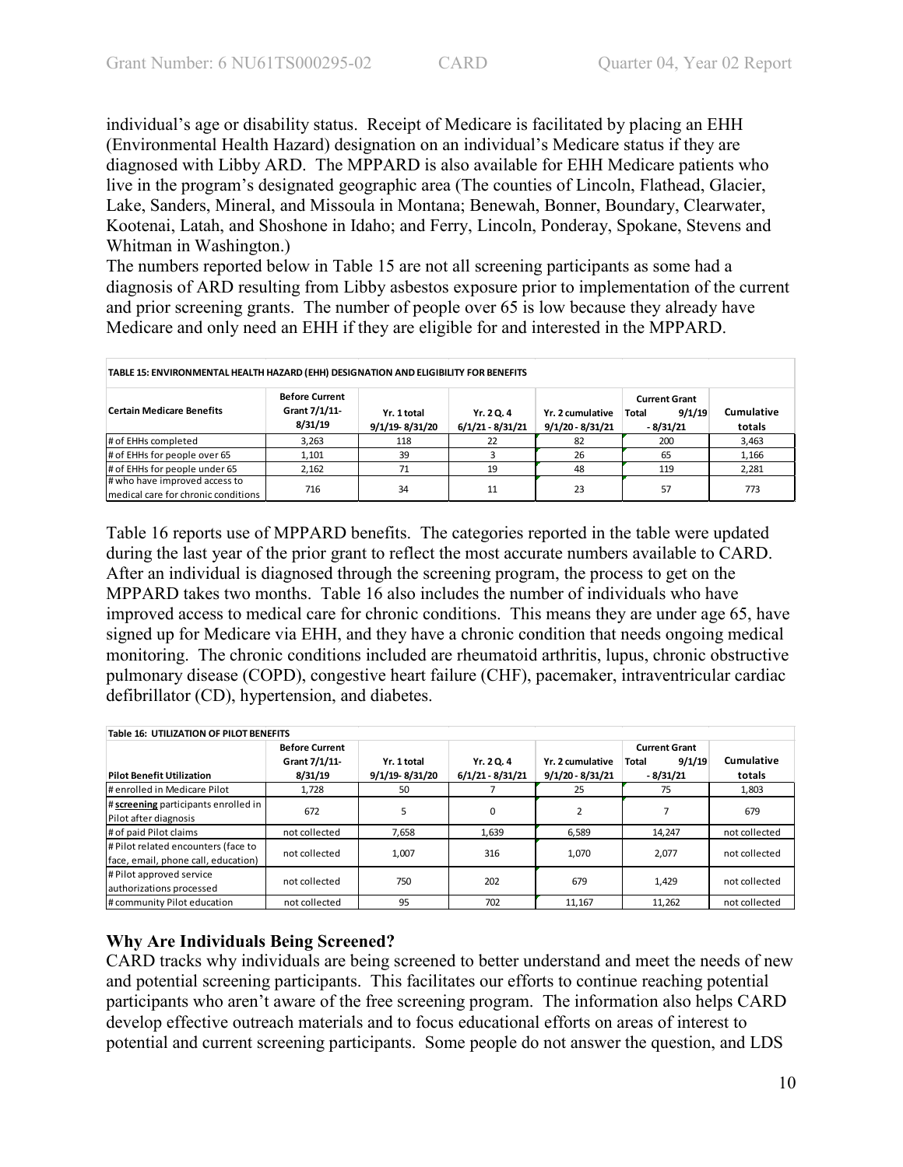individual's age or disability status. Receipt of Medicare is facilitated by placing an EHH (Environmental Health Hazard) designation on an individual's Medicare status if they are diagnosed with Libby ARD. The MPPARD is also available for EHH Medicare patients who live in the program's designated geographic area (The counties of Lincoln, Flathead, Glacier, Lake, Sanders, Mineral, and Missoula in Montana; Benewah, Bonner, Boundary, Clearwater, Kootenai, Latah, and Shoshone in Idaho; and Ferry, Lincoln, Ponderay, Spokane, Stevens and Whitman in Washington.)

The numbers reported below in Table 15 are not all screening participants as some had a diagnosis of ARD resulting from Libby asbestos exposure prior to implementation of the current and prior screening grants. The number of people over 65 is low because they already have Medicare and only need an EHH if they are eligible for and interested in the MPPARD.

| TABLE 15: ENVIRONMENTAL HEALTH HAZARD (EHH) DESIGNATION AND ELIGIBILITY FOR BENEFITS                                                                                                                                                                                                         |       |     |    |    |     |       |  |
|----------------------------------------------------------------------------------------------------------------------------------------------------------------------------------------------------------------------------------------------------------------------------------------------|-------|-----|----|----|-----|-------|--|
| <b>Before Current</b><br><b>Current Grant</b><br>Grant 7/1/11-<br><b>Certain Medicare Benefits</b><br><b>Cumulative</b><br>9/1/19<br>Yr. 2 cumulative<br>Total<br>Yr. 1 total<br>Yr. 2 Q. 4<br>8/31/19<br>9/1/19-8/31/20<br>$6/1/21 - 8/31/21$<br>$9/1/20 - 8/31/21$<br>$-8/31/21$<br>totals |       |     |    |    |     |       |  |
| # of EHHs completed                                                                                                                                                                                                                                                                          | 3,263 | 118 | 22 | 82 | 200 | 3,463 |  |
| # of EHHs for people over 65                                                                                                                                                                                                                                                                 | 1,101 | 39  |    | 26 | 65  | 1,166 |  |
| # of EHHs for people under 65                                                                                                                                                                                                                                                                | 2.162 | 71  | 19 | 48 | 119 | 2,281 |  |
| # who have improved access to<br>Imedical care for chronic conditions                                                                                                                                                                                                                        | 716   | 34  | 11 | 23 | 57  | 773   |  |

Table 16 reports use of MPPARD benefits. The categories reported in the table were updated during the last year of the prior grant to reflect the most accurate numbers available to CARD. After an individual is diagnosed through the screening program, the process to get on the MPPARD takes two months. Table 16 also includes the number of individuals who have improved access to medical care for chronic conditions. This means they are under age 65, have signed up for Medicare via EHH, and they have a chronic condition that needs ongoing medical monitoring. The chronic conditions included are rheumatoid arthritis, lupus, chronic obstructive pulmonary disease (COPD), congestive heart failure (CHF), pacemaker, intraventricular cardiac defibrillator (CD), hypertension, and diabetes.

| Table 16: UTILIZATION OF PILOT BENEFITS                                    |                                                   |                               |                                  |                                        |                                                       |                      |  |  |
|----------------------------------------------------------------------------|---------------------------------------------------|-------------------------------|----------------------------------|----------------------------------------|-------------------------------------------------------|----------------------|--|--|
| <b>Pilot Benefit Utilization</b>                                           | <b>Before Current</b><br>Grant 7/1/11-<br>8/31/19 | Yr. 1 total<br>9/1/19-8/31/20 | Yr. 2 Q. 4<br>$6/1/21 - 8/31/21$ | Yr. 2 cumulative<br>$9/1/20 - 8/31/21$ | <b>Current Grant</b><br>9/1/19<br>Total<br>$-8/31/21$ | Cumulative<br>totals |  |  |
| # enrolled in Medicare Pilot                                               | 1,728                                             | 50                            |                                  | 25                                     | 75                                                    | 1,803                |  |  |
| # screening participants enrolled in<br>Pilot after diagnosis              | 672                                               | 5                             | 0                                |                                        |                                                       | 679                  |  |  |
| # of paid Pilot claims                                                     | not collected                                     | 7,658                         | 1,639                            | 6,589                                  | 14,247                                                | not collected        |  |  |
| # Pilot related encounters (face to<br>face, email, phone call, education) | not collected                                     | 1,007                         | 316                              | 1,070                                  | 2.077                                                 | not collected        |  |  |
| # Pilot approved service<br>authorizations processed                       | not collected                                     | 750                           | 202                              | 679                                    | 1.429                                                 | not collected        |  |  |
| # community Pilot education                                                | not collected                                     | 95                            | 702                              | 11,167                                 | 11,262                                                | not collected        |  |  |

# **Why Are Individuals Being Screened?**

CARD tracks why individuals are being screened to better understand and meet the needs of new and potential screening participants. This facilitates our efforts to continue reaching potential participants who aren't aware of the free screening program. The information also helps CARD develop effective outreach materials and to focus educational efforts on areas of interest to potential and current screening participants. Some people do not answer the question, and LDS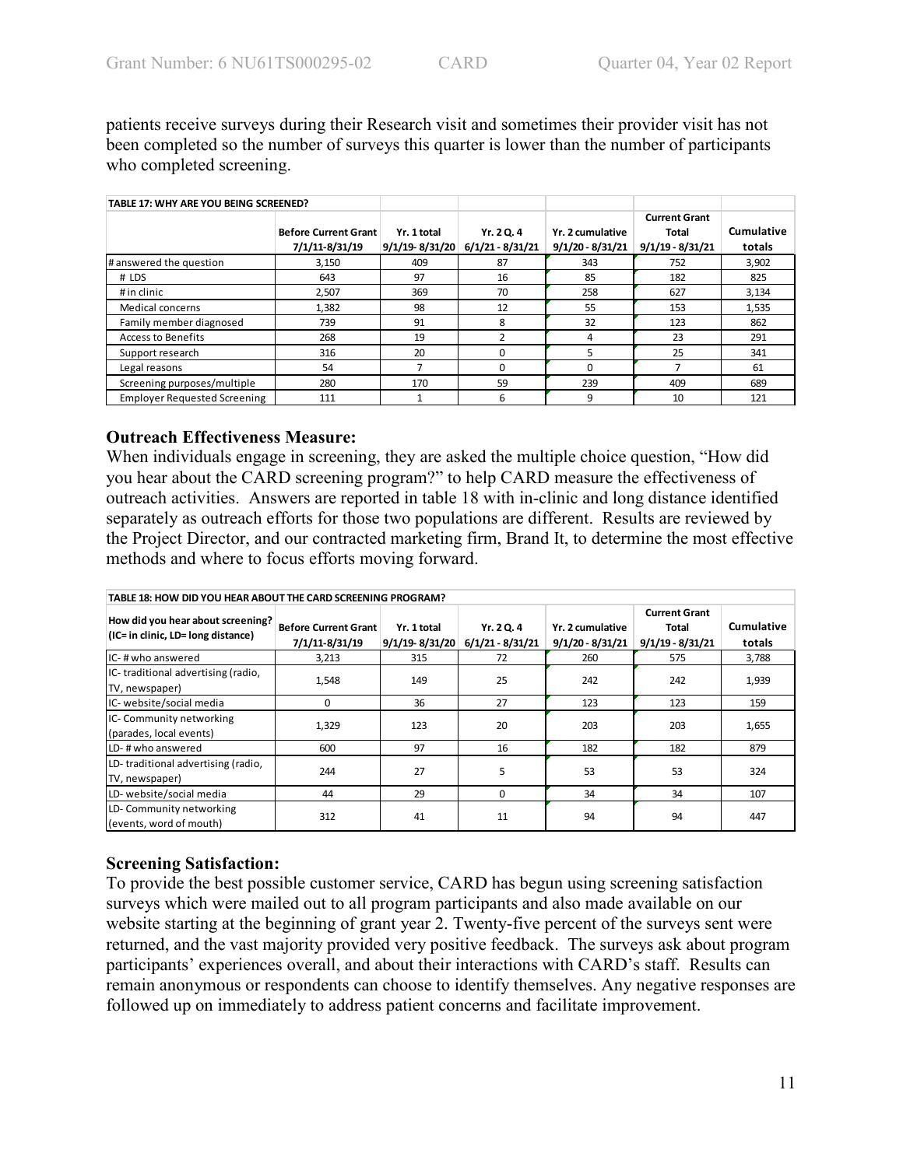patients receive surveys during their Research visit and sometimes their provider visit has not been completed so the number of surveys this quarter is lower than the number of participants who completed screening.

| TABLE 17: WHY ARE YOU BEING SCREENED? |                             |                    |                  |                    |                      |            |
|---------------------------------------|-----------------------------|--------------------|------------------|--------------------|----------------------|------------|
|                                       |                             |                    |                  |                    | <b>Current Grant</b> |            |
|                                       | <b>Before Current Grant</b> | Yr. 1 total        | Yr. 2 Q. 4       | Yr. 2 cumulative   | Total                | Cumulative |
|                                       | 7/1/11-8/31/19              | $9/1/19 - 8/31/20$ | 6/1/21 - 8/31/21 | $9/1/20 - 8/31/21$ | $9/1/19 - 8/31/21$   | totals     |
| # answered the question               | 3.150                       | 409                | 87               | 343                | 752                  | 3,902      |
| # LDS                                 | 643                         | 97                 | 16               | 85                 | 182                  | 825        |
| # in clinic                           | 2.507                       | 369                | 70               | 258                | 627                  | 3,134      |
| Medical concerns                      | 1,382                       | 98                 | 12               | 55                 | 153                  | 1,535      |
| Family member diagnosed               | 739                         | 91                 | 8                | 32                 | 123                  | 862        |
| <b>Access to Benefits</b>             | 268                         | 19                 | $\mathfrak z$    | 4                  | 23                   | 291        |
| Support research                      | 316                         | 20                 | O                | 5                  | 25                   | 341        |
| Legal reasons                         | 54                          | ∍                  |                  | 0                  |                      | 61         |
| Screening purposes/multiple           | 280                         | 170                | 59               | 239                | 409                  | 689        |
| <b>Employer Requested Screening</b>   | 111                         |                    | 6                | 9                  | 10                   | 121        |

## **Outreach Effectiveness Measure:**

When individuals engage in screening, they are asked the multiple choice question, "How did you hear about the CARD screening program?" to help CARD measure the effectiveness of outreach activities. Answers are reported in table 18 with in-clinic and long distance identified separately as outreach efforts for those two populations are different. Results are reviewed by the Project Director, and our contracted marketing firm, Brand It, to determine the most effective methods and where to focus efforts moving forward.

| TABLE 18: HOW DID YOU HEAR ABOUT THE CARD SCREENING PROGRAM?            |                                               |                               |                                  |                                        |                                                     |                      |  |  |  |
|-------------------------------------------------------------------------|-----------------------------------------------|-------------------------------|----------------------------------|----------------------------------------|-----------------------------------------------------|----------------------|--|--|--|
| How did you hear about screening?<br>(IC= in clinic, LD= long distance) | <b>Before Current Grant</b><br>7/1/11-8/31/19 | Yr. 1 total<br>9/1/19-8/31/20 | Yr. 2 Q. 4<br>$6/1/21 - 8/31/21$ | Yr. 2 cumulative<br>$9/1/20 - 8/31/21$ | <b>Current Grant</b><br>Total<br>$9/1/19 - 8/31/21$ | Cumulative<br>totals |  |  |  |
| IC-#who answered                                                        | 3,213                                         | 315                           | 72                               | 260                                    | 575                                                 | 3,788                |  |  |  |
| IC-traditional advertising (radio,<br>TV, newspaper)                    | 1,548                                         | 149                           | 25                               | 242                                    | 242                                                 | 1,939                |  |  |  |
| IC- website/social media                                                | 0                                             | 36                            | 27                               | 123                                    | 123                                                 | 159                  |  |  |  |
| IC- Community networking<br>(parades, local events)                     | 1,329                                         | 123                           | 20                               | 203                                    | 203                                                 | 1,655                |  |  |  |
| LD-#who answered                                                        | 600                                           | 97                            | 16                               | 182                                    | 182                                                 | 879                  |  |  |  |
| LD-traditional advertising (radio,<br>TV, newspaper)                    | 244                                           | 27                            | 5                                | 53                                     | 53                                                  | 324                  |  |  |  |
| LD- website/social media                                                | 44                                            | 29                            | $\Omega$                         | 34                                     | 34                                                  | 107                  |  |  |  |
| LD-Community networking<br>(events, word of mouth)                      | 312                                           | 41                            | 11                               | 94                                     | 94                                                  | 447                  |  |  |  |

# **Screening Satisfaction:**

To provide the best possible customer service, CARD has begun using screening satisfaction surveys which were mailed out to all program participants and also made available on our website starting at the beginning of grant year 2. Twenty-five percent of the surveys sent were returned, and the vast majority provided very positive feedback. The surveys ask about program participants' experiences overall, and about their interactions with CARD's staff. Results can remain anonymous or respondents can choose to identify themselves. Any negative responses are followed up on immediately to address patient concerns and facilitate improvement.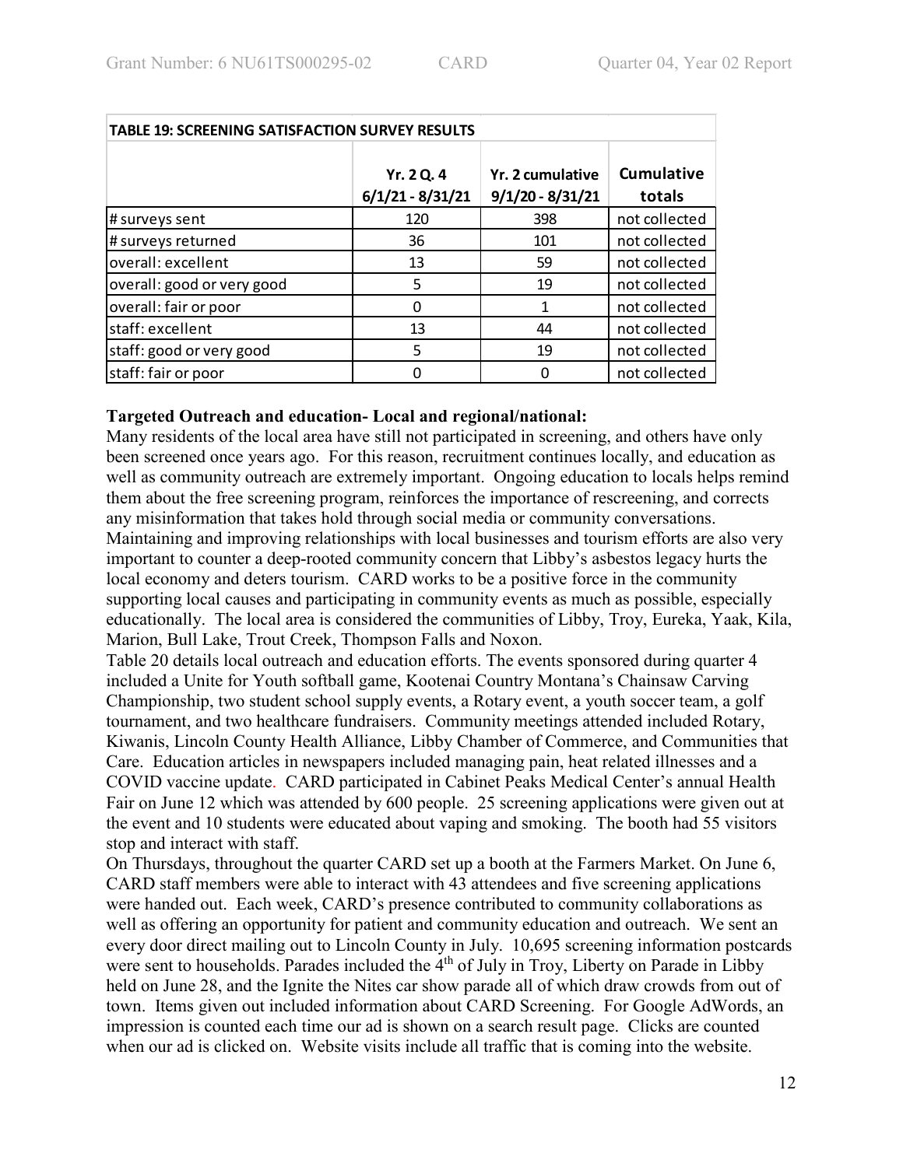| <b>TABLE 19: SCREENING SATISFACTION SURVEY RESULTS</b> |                                  |                                        |                             |  |  |  |  |  |  |
|--------------------------------------------------------|----------------------------------|----------------------------------------|-----------------------------|--|--|--|--|--|--|
|                                                        | Yr. 2 Q. 4<br>$6/1/21 - 8/31/21$ | Yr. 2 cumulative<br>$9/1/20 - 8/31/21$ | <b>Cumulative</b><br>totals |  |  |  |  |  |  |
| # surveys sent                                         | 120                              | 398                                    | not collected               |  |  |  |  |  |  |
| # surveys returned                                     | 36                               | 101                                    | not collected               |  |  |  |  |  |  |
| overall: excellent                                     | 13                               | 59                                     | not collected               |  |  |  |  |  |  |
| overall: good or very good                             | 5                                | 19                                     | not collected               |  |  |  |  |  |  |
| overall: fair or poor                                  | 0                                | 1                                      | not collected               |  |  |  |  |  |  |
| staff: excellent                                       | 13                               | 44                                     | not collected               |  |  |  |  |  |  |
| staff: good or very good                               | 5                                | 19                                     | not collected               |  |  |  |  |  |  |
| staff: fair or poor                                    | 0                                |                                        | not collected               |  |  |  |  |  |  |

## **Targeted Outreach and education- Local and regional/national:**

Many residents of the local area have still not participated in screening, and others have only been screened once years ago. For this reason, recruitment continues locally, and education as well as community outreach are extremely important. Ongoing education to locals helps remind them about the free screening program, reinforces the importance of rescreening, and corrects any misinformation that takes hold through social media or community conversations. Maintaining and improving relationships with local businesses and tourism efforts are also very important to counter a deep-rooted community concern that Libby's asbestos legacy hurts the local economy and deters tourism. CARD works to be a positive force in the community supporting local causes and participating in community events as much as possible, especially educationally. The local area is considered the communities of Libby, Troy, Eureka, Yaak, Kila, Marion, Bull Lake, Trout Creek, Thompson Falls and Noxon.

Table 20 details local outreach and education efforts. The events sponsored during quarter 4 included a Unite for Youth softball game, Kootenai Country Montana's Chainsaw Carving Championship, two student school supply events, a Rotary event, a youth soccer team, a golf tournament, and two healthcare fundraisers. Community meetings attended included Rotary, Kiwanis, Lincoln County Health Alliance, Libby Chamber of Commerce, and Communities that Care. Education articles in newspapers included managing pain, heat related illnesses and a COVID vaccine update. CARD participated in Cabinet Peaks Medical Center's annual Health Fair on June 12 which was attended by 600 people. 25 screening applications were given out at the event and 10 students were educated about vaping and smoking. The booth had 55 visitors stop and interact with staff.

On Thursdays, throughout the quarter CARD set up a booth at the Farmers Market. On June 6, CARD staff members were able to interact with 43 attendees and five screening applications were handed out. Each week, CARD's presence contributed to community collaborations as well as offering an opportunity for patient and community education and outreach. We sent an every door direct mailing out to Lincoln County in July. 10,695 screening information postcards were sent to households. Parades included the 4<sup>th</sup> of July in Troy, Liberty on Parade in Libby held on June 28, and the Ignite the Nites car show parade all of which draw crowds from out of town. Items given out included information about CARD Screening. For Google AdWords, an impression is counted each time our ad is shown on a search result page. Clicks are counted when our ad is clicked on. Website visits include all traffic that is coming into the website.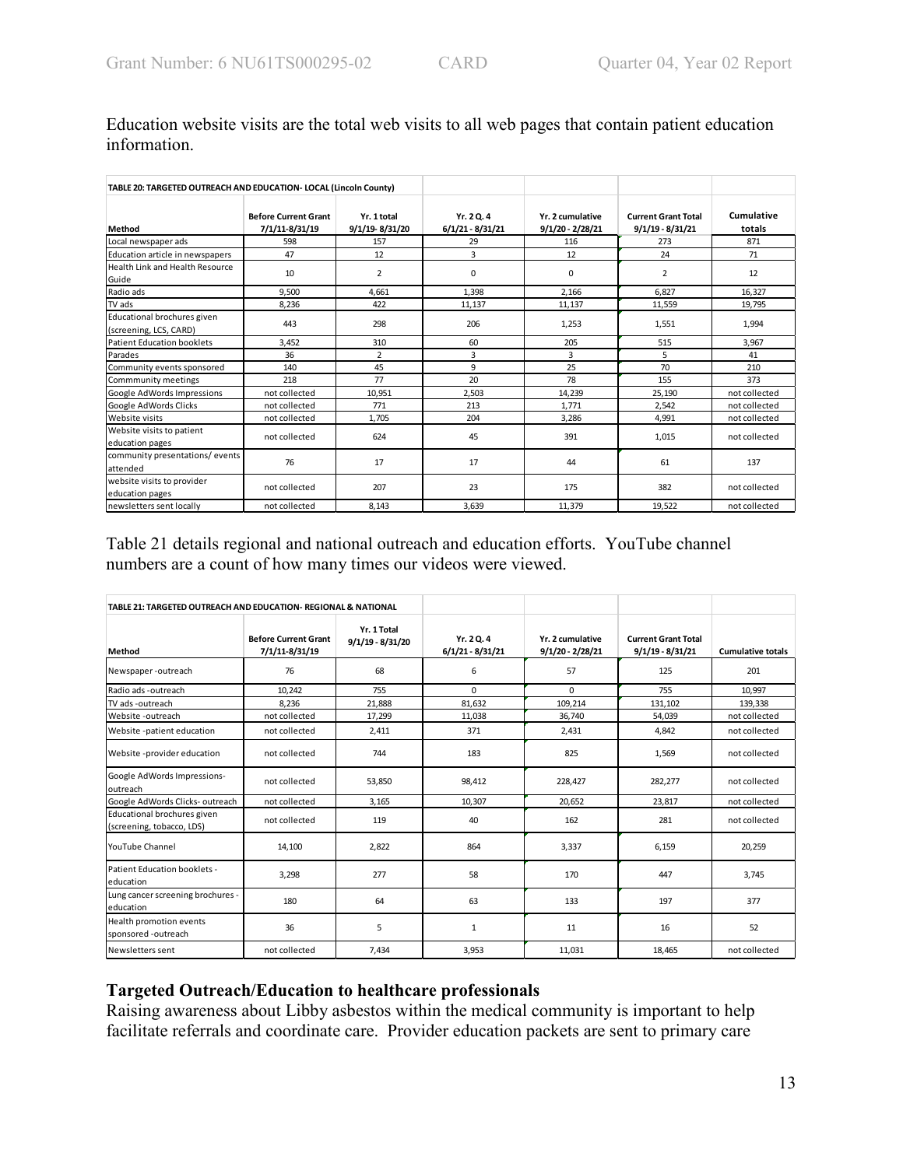| TABLE 20: TARGETED OUTREACH AND EDUCATION- LOCAL (Lincoln County) |                                               |                               |                                |                                        |                                                  |                      |
|-------------------------------------------------------------------|-----------------------------------------------|-------------------------------|--------------------------------|----------------------------------------|--------------------------------------------------|----------------------|
| Method                                                            | <b>Before Current Grant</b><br>7/1/11-8/31/19 | Yr. 1 total<br>9/1/19-8/31/20 | Yr. 20.4<br>$6/1/21 - 8/31/21$ | Yr. 2 cumulative<br>$9/1/20 - 2/28/21$ | <b>Current Grant Total</b><br>$9/1/19 - 8/31/21$ | Cumulative<br>totals |
| Local newspaper ads                                               | 598                                           | 157                           | 29                             | 116                                    | 273                                              | 871                  |
| Education article in newspapers                                   | 47                                            | 12                            | 3                              | 12                                     | 24                                               | 71                   |
| Health Link and Health Resource<br>Guide                          | 10                                            | $\overline{2}$                | 0                              | 0                                      | 2                                                | 12                   |
| Radio ads                                                         | 9.500                                         | 4,661                         | 1.398                          | 2.166                                  | 6.827                                            | 16,327               |
| TV ads                                                            | 8,236                                         | 422                           | 11,137                         | 11,137                                 | 11,559                                           | 19,795               |
| Educational brochures given<br>(screening, LCS, CARD)             | 443                                           | 298                           | 206                            | 1,253                                  | 1,551                                            | 1,994                |
| <b>Patient Education booklets</b>                                 | 3.452                                         | 310                           | 60                             | 205                                    | 515                                              | 3,967                |
| Parades                                                           | 36                                            | $\overline{2}$                | 3                              | 3                                      | 5                                                | 41                   |
| Community events sponsored                                        | 140                                           | 45                            | 9                              | 25                                     | 70                                               | 210                  |
| Commmunity meetings                                               | 218                                           | 77                            | 20                             | 78                                     | 155                                              | 373                  |
| Google AdWords Impressions                                        | not collected                                 | 10,951                        | 2,503                          | 14,239                                 | 25,190                                           | not collected        |
| Google AdWords Clicks                                             | not collected                                 | 771                           | 213                            | 1,771                                  | 2,542                                            | not collected        |
| Website visits                                                    | not collected                                 | 1,705                         | 204                            | 3,286                                  | 4,991                                            | not collected        |
| Website visits to patient<br>education pages                      | not collected                                 | 624                           | 45                             | 391                                    | 1,015                                            | not collected        |
| community presentations/events<br>attended                        | 76                                            | 17                            | 17                             | 44                                     | 61                                               | 137                  |
| website visits to provider<br>education pages                     | not collected                                 | 207                           | 23                             | 175                                    | 382                                              | not collected        |
| newsletters sent locally                                          | not collected                                 | 8,143                         | 3,639                          | 11,379                                 | 19,522                                           | not collected        |

Education website visits are the total web visits to all web pages that contain patient education information.

Table 21 details regional and national outreach and education efforts. YouTube channel numbers are a count of how many times our videos were viewed.

| TABLE 21: TARGETED OUTREACH AND EDUCATION- REGIONAL & NATIONAL |                                               |                                   |                                |                                      |                                                  |                          |
|----------------------------------------------------------------|-----------------------------------------------|-----------------------------------|--------------------------------|--------------------------------------|--------------------------------------------------|--------------------------|
| Method                                                         | <b>Before Current Grant</b><br>7/1/11-8/31/19 | Yr. 1 Total<br>$9/1/19 - 8/31/20$ | Yr. 20.4<br>$6/1/21 - 8/31/21$ | Yr. 2 cumulative<br>9/1/20 - 2/28/21 | <b>Current Grant Total</b><br>$9/1/19 - 8/31/21$ | <b>Cumulative totals</b> |
| Newspaper-outreach                                             | 76                                            | 68                                | 6                              | 57                                   | 125                                              | 201                      |
| Radio ads -outreach                                            | 10.242                                        | 755                               | $\Omega$                       | 0                                    | 755                                              | 10.997                   |
| TV ads -outreach                                               | 8.236                                         | 21.888                            | 81.632                         | 109.214                              | 131.102                                          | 139.338                  |
| Website -outreach                                              | not collected                                 | 17,299                            | 11,038                         | 36,740                               | 54,039                                           | not collected            |
| Website -patient education                                     | not collected                                 | 2,411                             | 371                            | 2.431                                | 4.842                                            | not collected            |
| Website -provider education                                    | not collected                                 | 744                               | 183                            | 825                                  | 1,569                                            | not collected            |
| Google AdWords Impressions-<br>outreach                        | not collected                                 | 53.850                            | 98.412                         | 228.427                              | 282.277                                          | not collected            |
| Google AdWords Clicks-outreach                                 | not collected                                 | 3,165                             | 10.307                         | 20,652                               | 23,817                                           | not collected            |
| Educational brochures given<br>(screening, tobacco, LDS)       | not collected                                 | 119                               | 40                             | 162                                  | 281                                              | not collected            |
| YouTube Channel                                                | 14,100                                        | 2,822                             | 864                            | 3,337                                | 6,159                                            | 20,259                   |
| Patient Education booklets -<br>education                      | 3,298                                         | 277                               | 58                             | 170                                  | 447                                              | 3,745                    |
| Lung cancer screening brochures -<br>leducation                | 180                                           | 64                                | 63                             | 133                                  | 197                                              | 377                      |
| Health promotion events<br>sponsored -outreach                 | 36                                            | 5                                 | $\mathbf{1}$                   | 11                                   | 16                                               | 52                       |
| Newsletters sent                                               | not collected                                 | 7,434                             | 3,953                          | 11,031                               | 18,465                                           | not collected            |

## **Targeted Outreach/Education to healthcare professionals**

Raising awareness about Libby asbestos within the medical community is important to help facilitate referrals and coordinate care. Provider education packets are sent to primary care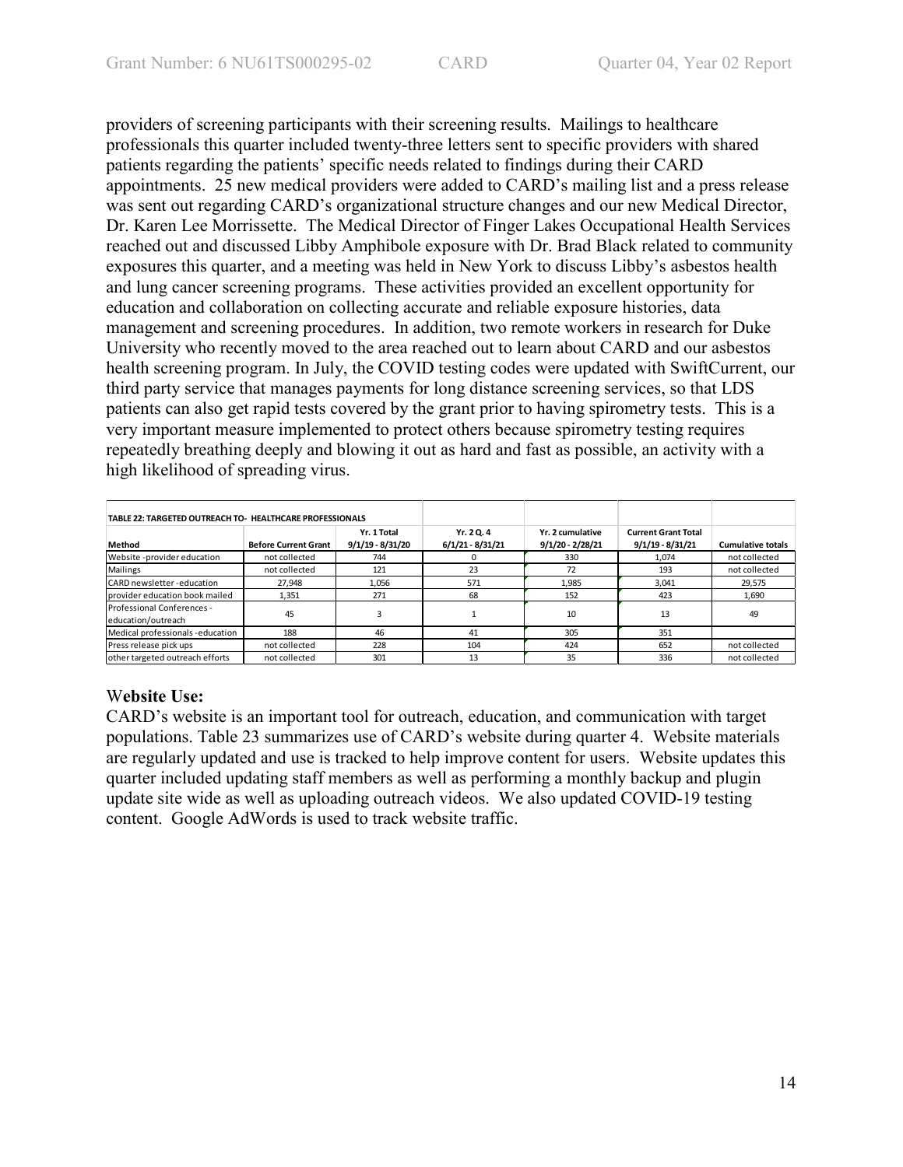providers of screening participants with their screening results. Mailings to healthcare professionals this quarter included twenty-three letters sent to specific providers with shared patients regarding the patients' specific needs related to findings during their CARD appointments. 25 new medical providers were added to CARD's mailing list and a press release was sent out regarding CARD's organizational structure changes and our new Medical Director, Dr. Karen Lee Morrissette. The Medical Director of Finger Lakes Occupational Health Services reached out and discussed Libby Amphibole exposure with Dr. Brad Black related to community exposures this quarter, and a meeting was held in New York to discuss Libby's asbestos health and lung cancer screening programs. These activities provided an excellent opportunity for education and collaboration on collecting accurate and reliable exposure histories, data management and screening procedures. In addition, two remote workers in research for Duke University who recently moved to the area reached out to learn about CARD and our asbestos health screening program. In July, the COVID testing codes were updated with SwiftCurrent, our third party service that manages payments for long distance screening services, so that LDS patients can also get rapid tests covered by the grant prior to having spirometry tests. This is a very important measure implemented to protect others because spirometry testing requires repeatedly breathing deeply and blowing it out as hard and fast as possible, an activity with a high likelihood of spreading virus.

| TABLE 22: TARGETED OUTREACH TO- HEALTHCARE PROFESSIONALS |                             |                                   |                                |                                        |                                                  |                          |
|----------------------------------------------------------|-----------------------------|-----------------------------------|--------------------------------|----------------------------------------|--------------------------------------------------|--------------------------|
| Method                                                   | <b>Before Current Grant</b> | Yr. 1 Total<br>$9/1/19 - 8/31/20$ | Yr. 20.4<br>$6/1/21 - 8/31/21$ | Yr. 2 cumulative<br>$9/1/20 - 2/28/21$ | <b>Current Grant Total</b><br>$9/1/19 - 8/31/21$ | <b>Cumulative totals</b> |
| Website -provider education                              | not collected               | 744                               |                                | 330                                    | 1.074                                            | not collected            |
| Mailings                                                 | not collected               | 121                               | 23                             | 72                                     | 193                                              | not collected            |
| <b>ICARD newsletter-education</b>                        | 27.948                      | 1.056                             | 571                            | 1,985                                  | 3,041                                            | 29.575                   |
| Iprovider education book mailed                          | 1,351                       | 271                               | 68                             | 152                                    | 423                                              | 1,690                    |
| Professional Conferences -<br>education/outreach         | 45                          |                                   |                                | 10                                     | 13                                               | 49                       |
| Medical professionals -education                         | 188                         | 46                                | 41                             | 305                                    | 351                                              |                          |
| Press release pick ups                                   | not collected               | 228                               | 104                            | 424                                    | 652                                              | not collected            |
| lother targeted outreach efforts                         | not collected               | 301                               | 13                             | 35                                     | 336                                              | not collected            |

# W**ebsite Use:**

CARD's website is an important tool for outreach, education, and communication with target populations. Table 23 summarizes use of CARD's website during quarter 4. Website materials are regularly updated and use is tracked to help improve content for users. Website updates this quarter included updating staff members as well as performing a monthly backup and plugin update site wide as well as uploading outreach videos. We also updated COVID-19 testing content. Google AdWords is used to track website traffic.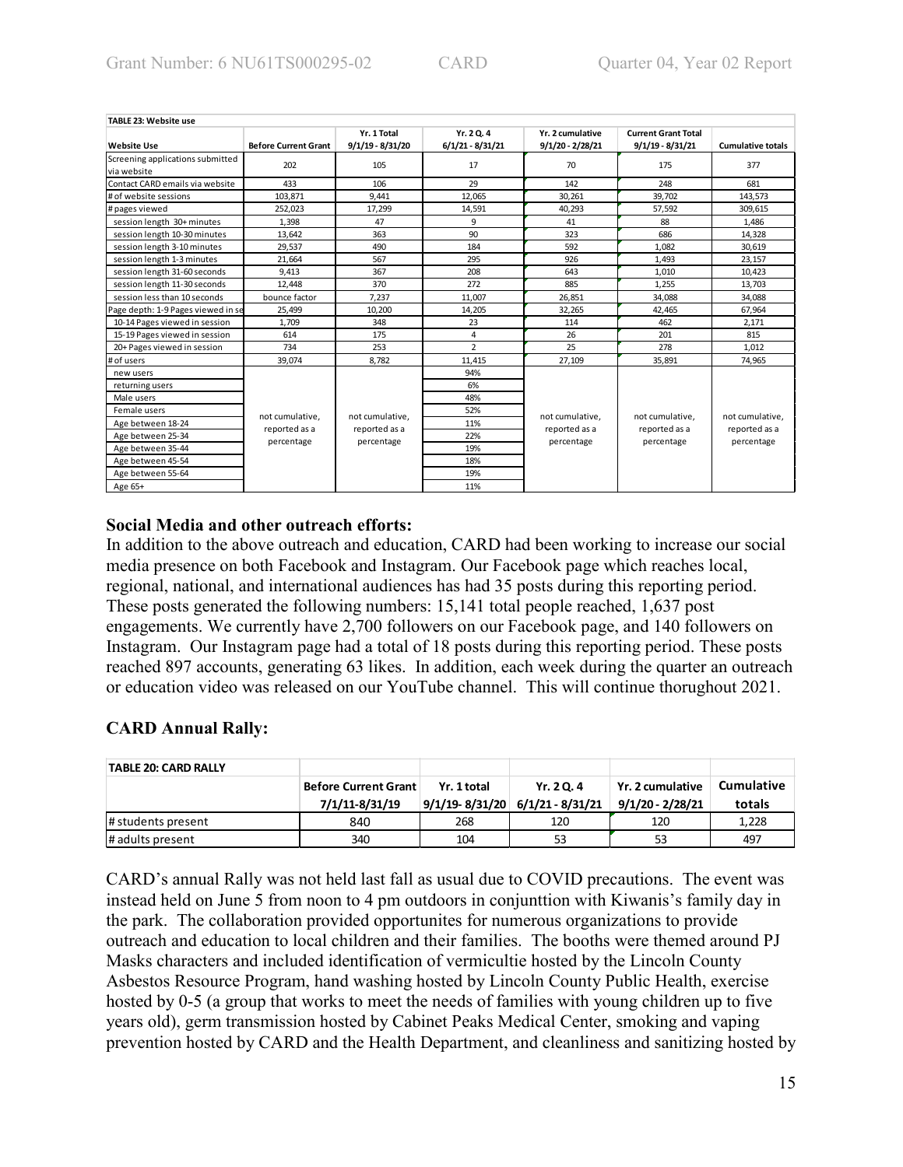| TABLE 23: Website use              |                             |                    |                    |                    |                            |                          |  |  |
|------------------------------------|-----------------------------|--------------------|--------------------|--------------------|----------------------------|--------------------------|--|--|
|                                    |                             | Yr. 1 Total        | Yr. 2 Q. 4         | Yr. 2 cumulative   | <b>Current Grant Total</b> |                          |  |  |
| <b>Website Use</b>                 | <b>Before Current Grant</b> | $9/1/19 - 8/31/20$ | $6/1/21 - 8/31/21$ | $9/1/20 - 2/28/21$ | $9/1/19 - 8/31/21$         | <b>Cumulative totals</b> |  |  |
| Screening applications submitted   | 202                         | 105                | 17                 | 70                 | 175                        | 377                      |  |  |
| via website                        |                             |                    |                    |                    |                            |                          |  |  |
| Contact CARD emails via website    | 433                         | 106                | 29                 | 142                | 248                        | 681                      |  |  |
| # of website sessions              | 103,871                     | 9,441              | 12,065             | 30,261             | 39,702                     | 143,573                  |  |  |
| # pages viewed                     | 252,023                     | 17.299             | 14,591             | 40,293             | 57,592                     | 309,615                  |  |  |
| session length 30+ minutes         | 1,398                       | 47                 | 9                  | 41                 | 88                         | 1,486                    |  |  |
| session length 10-30 minutes       | 13.642                      | 363                | 90                 | 323                | 686                        | 14,328                   |  |  |
| session length 3-10 minutes        | 29,537                      | 490                | 184                | 592                | 1,082                      | 30,619                   |  |  |
| session length 1-3 minutes         | 21.664                      | 567                | 295                | 926                | 1,493                      | 23,157                   |  |  |
| session length 31-60 seconds       | 9.413                       | 367                | 208                | 643                | 1,010                      | 10,423                   |  |  |
| session length 11-30 seconds       | 12,448                      | 370                | 272                | 885                | 1,255                      | 13,703                   |  |  |
| session less than 10 seconds       | bounce factor               | 7.237              | 11,007             | 26,851             | 34,088                     | 34,088                   |  |  |
| Page depth: 1-9 Pages viewed in se | 25,499                      | 10,200             | 14,205             | 32,265             | 42,465                     | 67,964                   |  |  |
| 10-14 Pages viewed in session      | 1,709                       | 348                | 23                 | 114                | 462                        | 2,171                    |  |  |
| 15-19 Pages viewed in session      | 614                         | 175                | 4                  | 26                 | 201                        | 815                      |  |  |
| 20+ Pages viewed in session        | 734                         | 253                | $\overline{2}$     | 25                 | 278                        | 1,012                    |  |  |
| # of users                         | 39,074                      | 8,782              | 11,415             | 27,109             | 35,891                     | 74,965                   |  |  |
| new users                          |                             |                    | 94%                |                    |                            |                          |  |  |
| returning users                    |                             |                    | 6%                 |                    |                            |                          |  |  |
| Male users                         |                             |                    | 48%                |                    |                            |                          |  |  |
| Female users                       | not cumulative,             | not cumulative.    | 52%                | not cumulative,    | not cumulative,            | not cumulative.          |  |  |
| Age between 18-24                  | reported as a               | reported as a      | 11%                | reported as a      | reported as a              | reported as a            |  |  |
| Age between 25-34                  |                             | percentage         | 22%                | percentage         | percentage                 | percentage               |  |  |
| Age between 35-44                  | percentage                  |                    | 19%                |                    |                            |                          |  |  |
| Age between 45-54                  |                             |                    | 18%                |                    |                            |                          |  |  |
| Age between 55-64                  |                             |                    | 19%                |                    |                            |                          |  |  |
| Age 65+                            |                             |                    | 11%                |                    |                            |                          |  |  |

### **Social Media and other outreach efforts:**

In addition to the above outreach and education, CARD had been working to increase our social media presence on both Facebook and Instagram. Our Facebook page which reaches local, regional, national, and international audiences has had 35 posts during this reporting period. These posts generated the following numbers: 15,141 total people reached, 1,637 post engagements. We currently have 2,700 followers on our Facebook page, and 140 followers on Instagram. Our Instagram page had a total of 18 posts during this reporting period. These posts reached 897 accounts, generating 63 likes. In addition, each week during the quarter an outreach or education video was released on our YouTube channel. This will continue thorughout 2021.

# **CARD Annual Rally:**

| <b>TABLE 20: CARD RALLY</b> |                             |             |                                     |                    |                   |
|-----------------------------|-----------------------------|-------------|-------------------------------------|--------------------|-------------------|
|                             | <b>Before Current Grant</b> | Yr. 1 total | Yr. 2 Q. 4                          | Yr. 2 cumulative   | <b>Cumulative</b> |
|                             | 7/1/11-8/31/19              |             | $9/1/19 - 8/31/20$ 6/1/21 - 8/31/21 | $9/1/20 - 2/28/21$ | totals            |
| # students present          | 840                         | 268         | 120                                 | 120                | 1,228             |
| # adults present            | 340                         | 104         | 53                                  | 53                 | 497               |

CARD's annual Rally was not held last fall as usual due to COVID precautions. The event was instead held on June 5 from noon to 4 pm outdoors in conjunttion with Kiwanis's family day in the park. The collaboration provided opportunites for numerous organizations to provide outreach and education to local children and their families. The booths were themed around PJ Masks characters and included identification of vermicultie hosted by the Lincoln County Asbestos Resource Program, hand washing hosted by Lincoln County Public Health, exercise hosted by 0-5 (a group that works to meet the needs of families with young children up to five years old), germ transmission hosted by Cabinet Peaks Medical Center, smoking and vaping prevention hosted by CARD and the Health Department, and cleanliness and sanitizing hosted by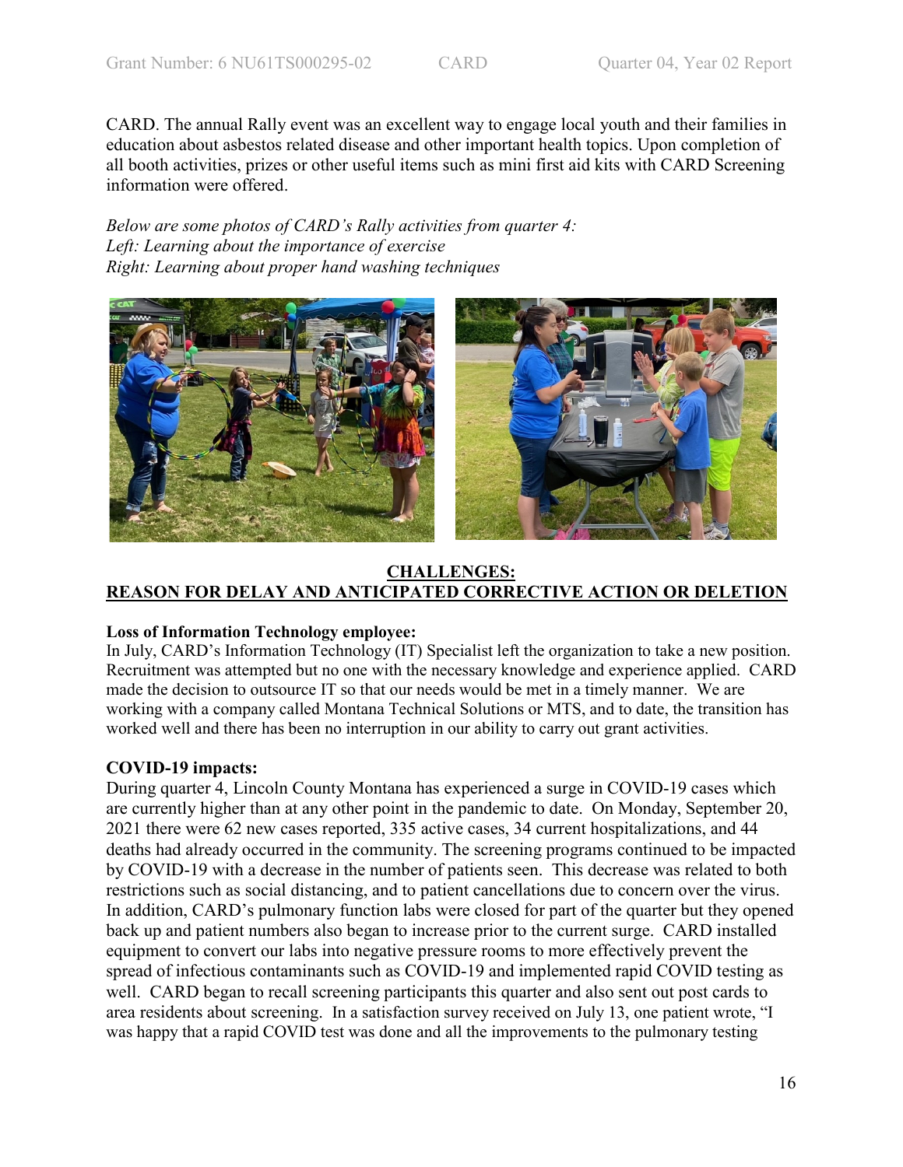CARD. The annual Rally event was an excellent way to engage local youth and their families in education about asbestos related disease and other important health topics. Upon completion of all booth activities, prizes or other useful items such as mini first aid kits with CARD Screening information were offered.

*Below are some photos of CARD's Rally activities from quarter 4: Left: Learning about the importance of exercise Right: Learning about proper hand washing techniques*



# **CHALLENGES: REASON FOR DELAY AND ANTICIPATED CORRECTIVE ACTION OR DELETION**

# **Loss of Information Technology employee:**

In July, CARD's Information Technology (IT) Specialist left the organization to take a new position. Recruitment was attempted but no one with the necessary knowledge and experience applied. CARD made the decision to outsource IT so that our needs would be met in a timely manner. We are working with a company called Montana Technical Solutions or MTS, and to date, the transition has worked well and there has been no interruption in our ability to carry out grant activities.

# **COVID-19 impacts:**

During quarter 4, Lincoln County Montana has experienced a surge in COVID-19 cases which are currently higher than at any other point in the pandemic to date. On Monday, September 20, 2021 there were 62 new cases reported, 335 active cases, 34 current hospitalizations, and 44 deaths had already occurred in the community. The screening programs continued to be impacted by COVID-19 with a decrease in the number of patients seen. This decrease was related to both restrictions such as social distancing, and to patient cancellations due to concern over the virus. In addition, CARD's pulmonary function labs were closed for part of the quarter but they opened back up and patient numbers also began to increase prior to the current surge. CARD installed equipment to convert our labs into negative pressure rooms to more effectively prevent the spread of infectious contaminants such as COVID-19 and implemented rapid COVID testing as well. CARD began to recall screening participants this quarter and also sent out post cards to area residents about screening. In a satisfaction survey received on July 13, one patient wrote, "I was happy that a rapid COVID test was done and all the improvements to the pulmonary testing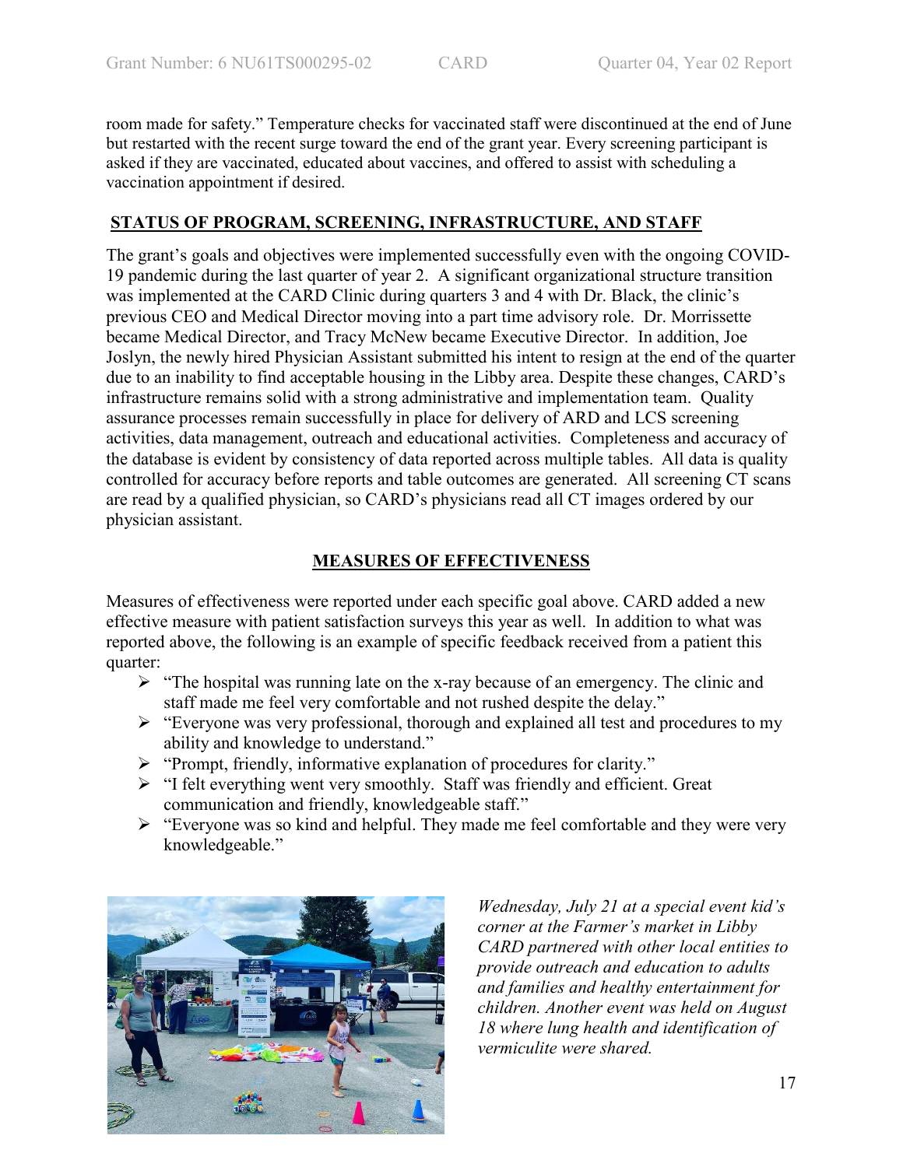room made for safety." Temperature checks for vaccinated staff were discontinued at the end of June but restarted with the recent surge toward the end of the grant year. Every screening participant is asked if they are vaccinated, educated about vaccines, and offered to assist with scheduling a vaccination appointment if desired.

# **STATUS OF PROGRAM, SCREENING, INFRASTRUCTURE, AND STAFF**

The grant's goals and objectives were implemented successfully even with the ongoing COVID-19 pandemic during the last quarter of year 2. A significant organizational structure transition was implemented at the CARD Clinic during quarters 3 and 4 with Dr. Black, the clinic's previous CEO and Medical Director moving into a part time advisory role. Dr. Morrissette became Medical Director, and Tracy McNew became Executive Director. In addition, Joe Joslyn, the newly hired Physician Assistant submitted his intent to resign at the end of the quarter due to an inability to find acceptable housing in the Libby area. Despite these changes, CARD's infrastructure remains solid with a strong administrative and implementation team. Quality assurance processes remain successfully in place for delivery of ARD and LCS screening activities, data management, outreach and educational activities. Completeness and accuracy of the database is evident by consistency of data reported across multiple tables. All data is quality controlled for accuracy before reports and table outcomes are generated. All screening CT scans are read by a qualified physician, so CARD's physicians read all CT images ordered by our physician assistant.

# **MEASURES OF EFFECTIVENESS**

Measures of effectiveness were reported under each specific goal above. CARD added a new effective measure with patient satisfaction surveys this year as well. In addition to what was reported above, the following is an example of specific feedback received from a patient this quarter:

- $\triangleright$  "The hospital was running late on the x-ray because of an emergency. The clinic and staff made me feel very comfortable and not rushed despite the delay."
- "Everyone was very professional, thorough and explained all test and procedures to my ability and knowledge to understand."
- "Prompt, friendly, informative explanation of procedures for clarity."
- "I felt everything went very smoothly. Staff was friendly and efficient. Great communication and friendly, knowledgeable staff."
- "Everyone was so kind and helpful. They made me feel comfortable and they were very knowledgeable."



*Wednesday, July 21 at a special event kid's corner at the Farmer's market in Libby CARD partnered with other local entities to provide outreach and education to adults and families and healthy entertainment for children. Another event was held on August 18 where lung health and identification of vermiculite were shared.*